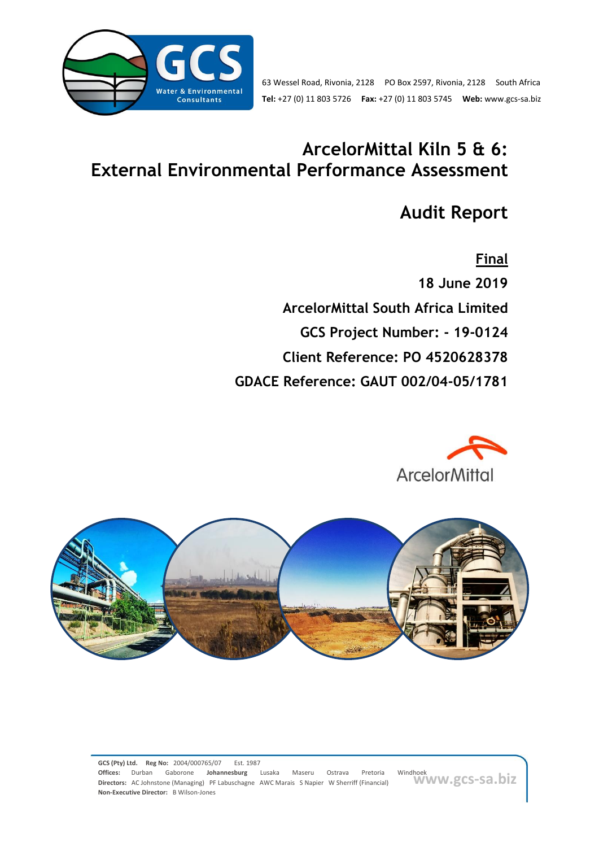

# **ArcelorMittal Kiln 5 & 6: External Environmental Performance Assessment**

# **Audit Report**

**Final 18 June 2019 ArcelorMittal South Africa Limited GCS Project Number: - 19-0124 Client Reference: PO 4520628378 GDACE Reference: GAUT 002/04-05/1781**



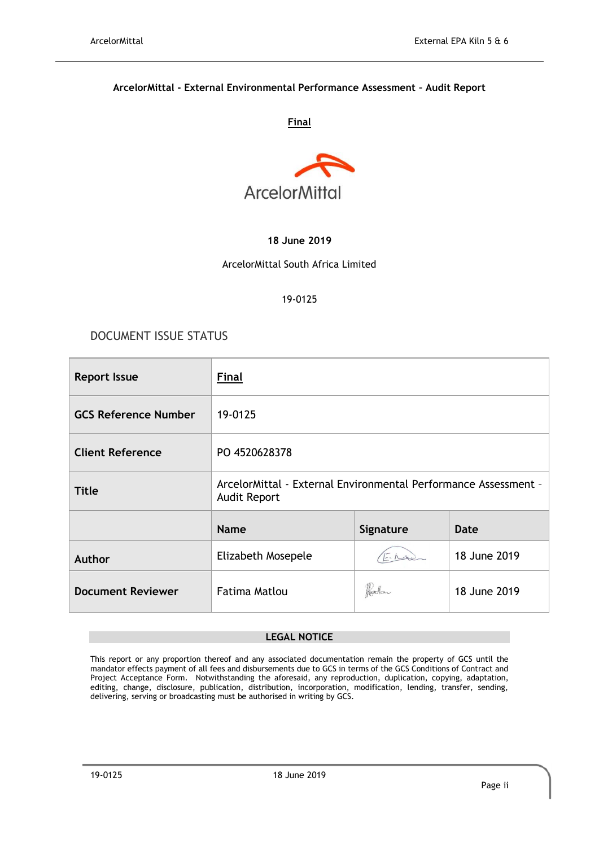#### **ArcelorMittal - External Environmental Performance Assessment – Audit Report**

#### **Final**



#### **18 June 2019**

#### ArcelorMittal South Africa Limited

#### 19-0125

### DOCUMENT ISSUE STATUS

| <b>Report Issue</b>         | <b>Final</b>                                                                           |           |              |  |  |
|-----------------------------|----------------------------------------------------------------------------------------|-----------|--------------|--|--|
| <b>GCS Reference Number</b> | 19-0125                                                                                |           |              |  |  |
| <b>Client Reference</b>     | PO 4520628378                                                                          |           |              |  |  |
| <b>Title</b>                | ArcelorMittal - External Environmental Performance Assessment -<br><b>Audit Report</b> |           |              |  |  |
|                             | <b>Name</b>                                                                            | Signature | <b>Date</b>  |  |  |
| Author                      | Elizabeth Mosepele                                                                     |           | 18 June 2019 |  |  |
| <b>Document Reviewer</b>    | <b>Fatima Matlou</b>                                                                   |           | 18 June 2019 |  |  |

#### **LEGAL NOTICE**

This report or any proportion thereof and any associated documentation remain the property of GCS until the mandator effects payment of all fees and disbursements due to GCS in terms of the GCS Conditions of Contract and Project Acceptance Form. Notwithstanding the aforesaid, any reproduction, duplication, copying, adaptation, editing, change, disclosure, publication, distribution, incorporation, modification, lending, transfer, sending, delivering, serving or broadcasting must be authorised in writing by GCS.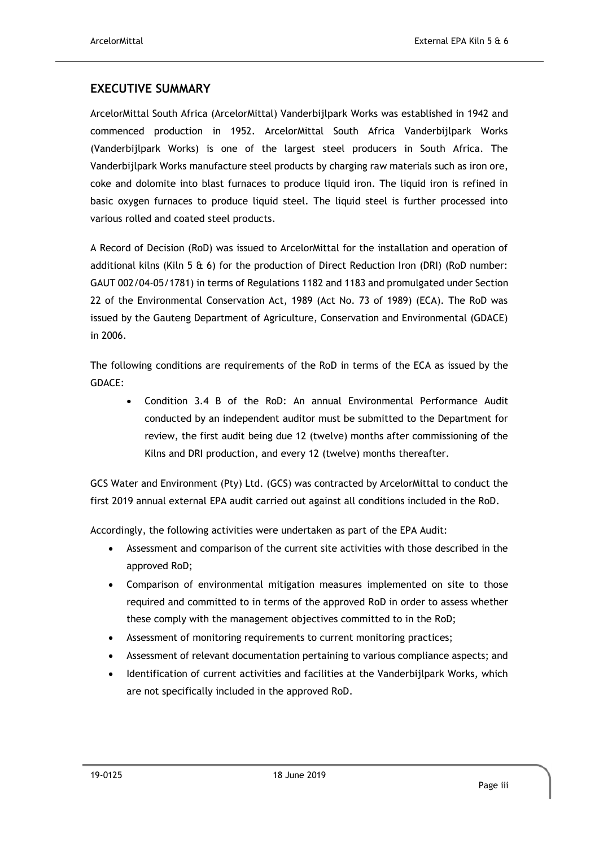### **EXECUTIVE SUMMARY**

ArcelorMittal South Africa (ArcelorMittal) Vanderbijlpark Works was established in 1942 and commenced production in 1952. ArcelorMittal South Africa Vanderbijlpark Works (Vanderbijlpark Works) is one of the largest steel producers in South Africa. The Vanderbijlpark Works manufacture steel products by charging raw materials such as iron ore, coke and dolomite into blast furnaces to produce liquid iron. The liquid iron is refined in basic oxygen furnaces to produce liquid steel. The liquid steel is further processed into various rolled and coated steel products.

A Record of Decision (RoD) was issued to ArcelorMittal for the installation and operation of additional kilns (Kiln 5 & 6) for the production of Direct Reduction Iron (DRI) (RoD number: GAUT 002/04-05/1781) in terms of Regulations 1182 and 1183 and promulgated under Section 22 of the Environmental Conservation Act, 1989 (Act No. 73 of 1989) (ECA). The RoD was issued by the Gauteng Department of Agriculture, Conservation and Environmental (GDACE) in 2006.

The following conditions are requirements of the RoD in terms of the ECA as issued by the GDACE:

• Condition 3.4 B of the RoD: An annual Environmental Performance Audit conducted by an independent auditor must be submitted to the Department for review, the first audit being due 12 (twelve) months after commissioning of the Kilns and DRI production, and every 12 (twelve) months thereafter.

GCS Water and Environment (Pty) Ltd. (GCS) was contracted by ArcelorMittal to conduct the first 2019 annual external EPA audit carried out against all conditions included in the RoD.

Accordingly, the following activities were undertaken as part of the EPA Audit:

- Assessment and comparison of the current site activities with those described in the approved RoD;
- Comparison of environmental mitigation measures implemented on site to those required and committed to in terms of the approved RoD in order to assess whether these comply with the management objectives committed to in the RoD;
- Assessment of monitoring requirements to current monitoring practices;
- Assessment of relevant documentation pertaining to various compliance aspects; and
- Identification of current activities and facilities at the Vanderbijlpark Works, which are not specifically included in the approved RoD.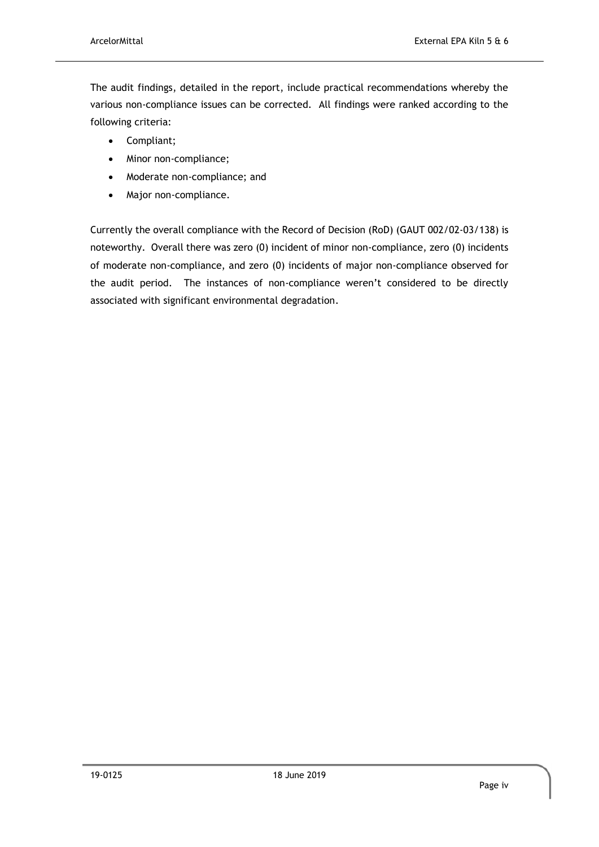The audit findings, detailed in the report, include practical recommendations whereby the various non-compliance issues can be corrected. All findings were ranked according to the following criteria:

- Compliant;
- Minor non-compliance;
- Moderate non-compliance; and
- Major non-compliance.

Currently the overall compliance with the Record of Decision (RoD) (GAUT 002/02-03/138) is noteworthy. Overall there was zero (0) incident of minor non-compliance, zero (0) incidents of moderate non-compliance, and zero (0) incidents of major non-compliance observed for the audit period. The instances of non-compliance weren't considered to be directly associated with significant environmental degradation.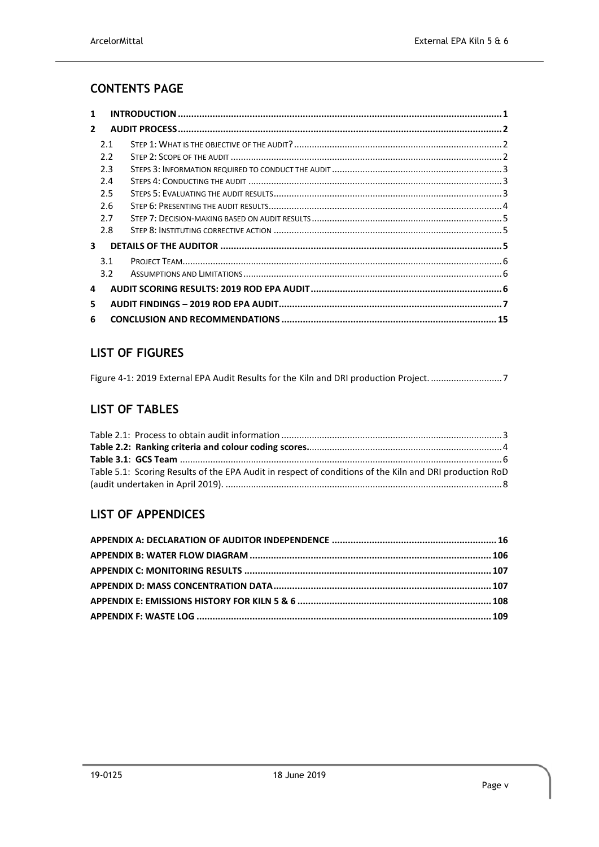# **CONTENTS PAGE**

| 1              |     |  |
|----------------|-----|--|
| $\overline{2}$ |     |  |
|                | 2.1 |  |
|                | 2.2 |  |
|                | 2.3 |  |
|                | 2.4 |  |
|                | 2.5 |  |
|                | 2.6 |  |
|                | 2.7 |  |
|                | 2.8 |  |
| 3              |     |  |
|                | 3.1 |  |
|                | 3.2 |  |
| 4              |     |  |
| 5.             |     |  |
| 6              |     |  |

# **LIST OF FIGURES**

|  | Figure 4-1: 2019 External EPA Audit Results for the Kiln and DRI production Project. 7 |  |
|--|----------------------------------------------------------------------------------------|--|
|  |                                                                                        |  |

# **LIST OF TABLES**

| Table 5.1: Scoring Results of the EPA Audit in respect of conditions of the Kiln and DRI production RoD |  |
|---------------------------------------------------------------------------------------------------------|--|
|                                                                                                         |  |

# **LIST OF APPENDICES**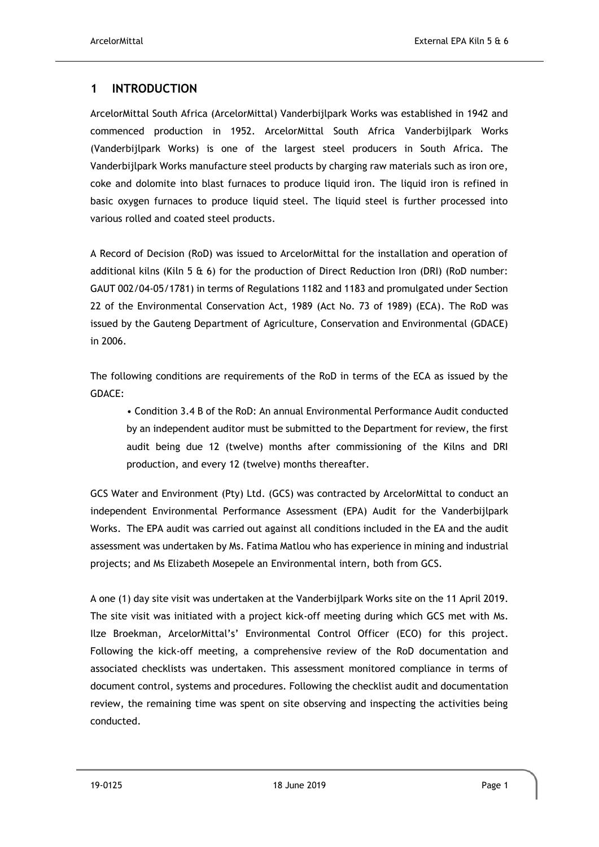# <span id="page-5-0"></span>**1 INTRODUCTION**

ArcelorMittal South Africa (ArcelorMittal) Vanderbijlpark Works was established in 1942 and commenced production in 1952. ArcelorMittal South Africa Vanderbijlpark Works (Vanderbijlpark Works) is one of the largest steel producers in South Africa. The Vanderbijlpark Works manufacture steel products by charging raw materials such as iron ore, coke and dolomite into blast furnaces to produce liquid iron. The liquid iron is refined in basic oxygen furnaces to produce liquid steel. The liquid steel is further processed into various rolled and coated steel products.

A Record of Decision (RoD) was issued to ArcelorMittal for the installation and operation of additional kilns (Kiln 5 & 6) for the production of Direct Reduction Iron (DRI) (RoD number: GAUT 002/04-05/1781) in terms of Regulations 1182 and 1183 and promulgated under Section 22 of the Environmental Conservation Act, 1989 (Act No. 73 of 1989) (ECA). The RoD was issued by the Gauteng Department of Agriculture, Conservation and Environmental (GDACE) in 2006.

The following conditions are requirements of the RoD in terms of the ECA as issued by the GDACE:

• Condition 3.4 B of the RoD: An annual Environmental Performance Audit conducted by an independent auditor must be submitted to the Department for review, the first audit being due 12 (twelve) months after commissioning of the Kilns and DRI production, and every 12 (twelve) months thereafter.

GCS Water and Environment (Pty) Ltd. (GCS) was contracted by ArcelorMittal to conduct an independent Environmental Performance Assessment (EPA) Audit for the Vanderbijlpark Works. The EPA audit was carried out against all conditions included in the EA and the audit assessment was undertaken by Ms. Fatima Matlou who has experience in mining and industrial projects; and Ms Elizabeth Mosepele an Environmental intern, both from GCS.

A one (1) day site visit was undertaken at the Vanderbijlpark Works site on the 11 April 2019. The site visit was initiated with a project kick-off meeting during which GCS met with Ms. Ilze Broekman, ArcelorMittal's' Environmental Control Officer (ECO) for this project. Following the kick-off meeting, a comprehensive review of the RoD documentation and associated checklists was undertaken. This assessment monitored compliance in terms of document control, systems and procedures. Following the checklist audit and documentation review, the remaining time was spent on site observing and inspecting the activities being conducted.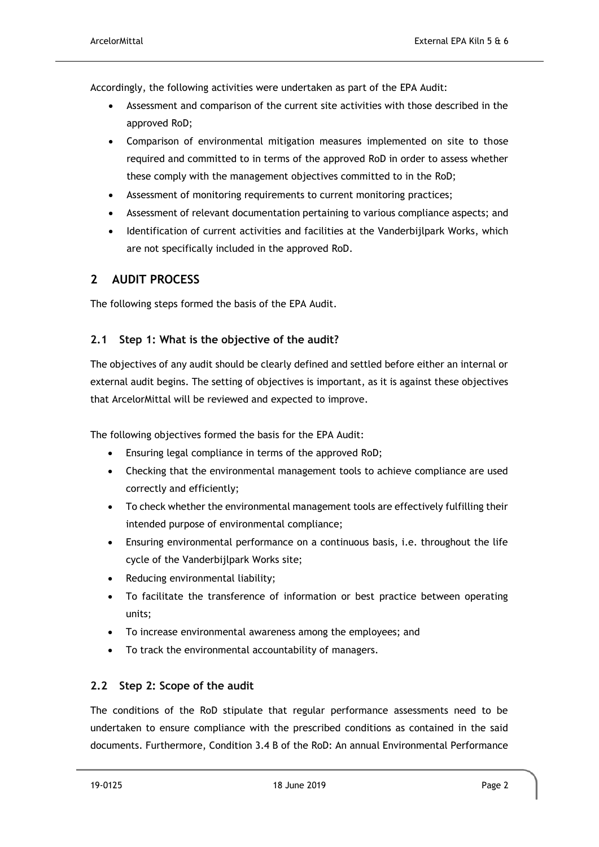Accordingly, the following activities were undertaken as part of the EPA Audit:

- Assessment and comparison of the current site activities with those described in the approved RoD;
- Comparison of environmental mitigation measures implemented on site to those required and committed to in terms of the approved RoD in order to assess whether these comply with the management objectives committed to in the RoD;
- Assessment of monitoring requirements to current monitoring practices;
- Assessment of relevant documentation pertaining to various compliance aspects; and
- Identification of current activities and facilities at the Vanderbijlpark Works, which are not specifically included in the approved RoD.

# <span id="page-6-0"></span>**2 AUDIT PROCESS**

The following steps formed the basis of the EPA Audit.

### <span id="page-6-1"></span>**2.1 Step 1: What is the objective of the audit?**

The objectives of any audit should be clearly defined and settled before either an internal or external audit begins. The setting of objectives is important, as it is against these objectives that ArcelorMittal will be reviewed and expected to improve.

The following objectives formed the basis for the EPA Audit:

- Ensuring legal compliance in terms of the approved RoD;
- Checking that the environmental management tools to achieve compliance are used correctly and efficiently;
- To check whether the environmental management tools are effectively fulfilling their intended purpose of environmental compliance;
- Ensuring environmental performance on a continuous basis, i.e. throughout the life cycle of the Vanderbijlpark Works site;
- Reducing environmental liability;
- To facilitate the transference of information or best practice between operating units;
- To increase environmental awareness among the employees; and
- To track the environmental accountability of managers.

## <span id="page-6-2"></span>**2.2 Step 2: Scope of the audit**

The conditions of the RoD stipulate that regular performance assessments need to be undertaken to ensure compliance with the prescribed conditions as contained in the said documents. Furthermore, Condition 3.4 B of the RoD: An annual Environmental Performance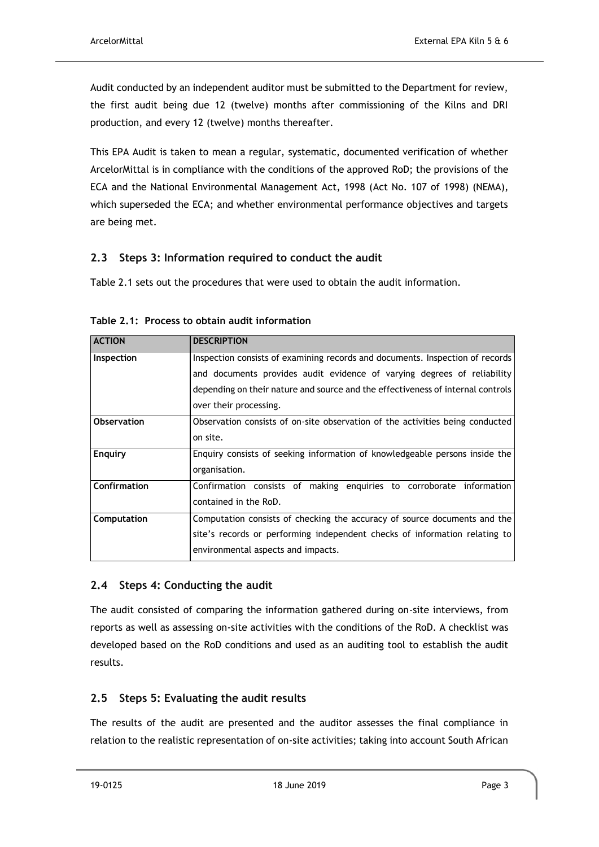Audit conducted by an independent auditor must be submitted to the Department for review, the first audit being due 12 (twelve) months after commissioning of the Kilns and DRI production, and every 12 (twelve) months thereafter.

This EPA Audit is taken to mean a regular, systematic, documented verification of whether ArcelorMittal is in compliance with the conditions of the approved RoD; the provisions of the ECA and the National Environmental Management Act, 1998 (Act No. 107 of 1998) (NEMA), which superseded the ECA; and whether environmental performance objectives and targets are being met.

### <span id="page-7-0"></span>**2.3 Steps 3: Information required to conduct the audit**

[Table 2.1](#page-7-3) sets out the procedures that were used to obtain the audit information.

| <b>ACTION</b>      | <b>DESCRIPTION</b>                                                              |
|--------------------|---------------------------------------------------------------------------------|
| Inspection         | Inspection consists of examining records and documents. Inspection of records   |
|                    | and documents provides audit evidence of varying degrees of reliability         |
|                    | depending on their nature and source and the effectiveness of internal controls |
|                    | over their processing.                                                          |
| <b>Observation</b> | Observation consists of on-site observation of the activities being conducted   |
|                    | on site.                                                                        |
| Enguiry            | Enguiry consists of seeking information of knowledgeable persons inside the     |
|                    | organisation.                                                                   |
| Confirmation       | Confirmation consists of making enguiries to corroborate information            |
|                    | contained in the RoD.                                                           |
| Computation        | Computation consists of checking the accuracy of source documents and the       |
|                    | site's records or performing independent checks of information relating to      |
|                    | environmental aspects and impacts.                                              |

<span id="page-7-3"></span>**Table 2.1: Process to obtain audit information**

## <span id="page-7-1"></span>**2.4 Steps 4: Conducting the audit**

The audit consisted of comparing the information gathered during on-site interviews, from reports as well as assessing on-site activities with the conditions of the RoD. A checklist was developed based on the RoD conditions and used as an auditing tool to establish the audit results.

## <span id="page-7-2"></span>**2.5 Steps 5: Evaluating the audit results**

The results of the audit are presented and the auditor assesses the final compliance in relation to the realistic representation of on-site activities; taking into account South African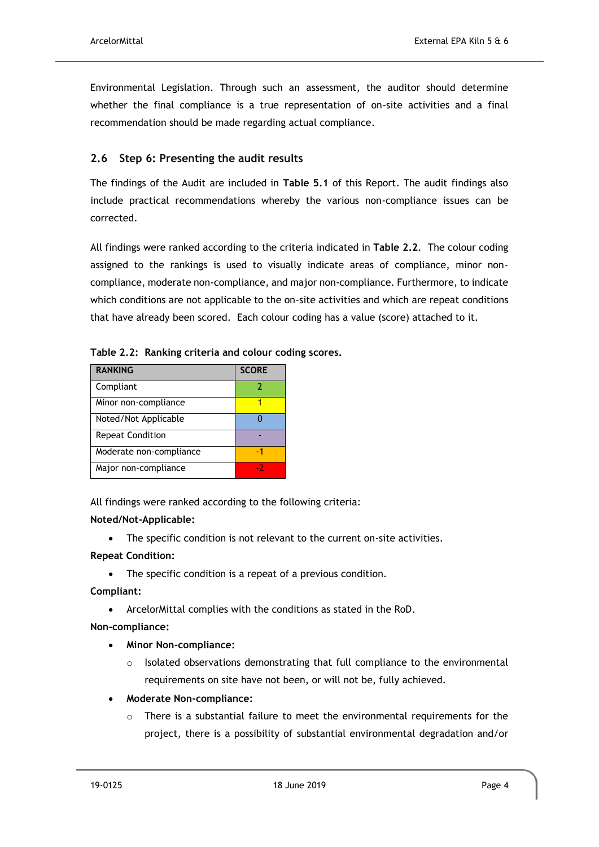Environmental Legislation. Through such an assessment, the auditor should determine whether the final compliance is a true representation of on-site activities and a final recommendation should be made regarding actual compliance.

## <span id="page-8-0"></span>**2.6 Step 6: Presenting the audit results**

The findings of the Audit are included in **[Table 5.1](#page-12-0)** of this Report. The audit findings also include practical recommendations whereby the various non-compliance issues can be corrected.

All findings were ranked according to the criteria indicated in **[Table 2.2](#page-8-1)**. The colour coding assigned to the rankings is used to visually indicate areas of compliance, minor noncompliance, moderate non-compliance, and major non-compliance. Furthermore, to indicate which conditions are not applicable to the on-site activities and which are repeat conditions that have already been scored. Each colour coding has a value (score) attached to it.

| <b>RANKING</b>          | <b>SCORE</b> |
|-------------------------|--------------|
| Compliant               |              |
| Minor non-compliance    |              |
| Noted/Not Applicable    |              |
| <b>Repeat Condition</b> |              |
| Moderate non-compliance | -1           |
| Major non-compliance    | - 2          |

<span id="page-8-1"></span>**Table 2.2: Ranking criteria and colour coding scores.**

All findings were ranked according to the following criteria:

#### **Noted/Not-Applicable:**

• The specific condition is not relevant to the current on-site activities.

#### **Repeat Condition:**

• The specific condition is a repeat of a previous condition.

#### **Compliant:**

• ArcelorMittal complies with the conditions as stated in the RoD.

#### **Non-compliance:**

- **Minor Non-compliance:**
	- Isolated observations demonstrating that full compliance to the environmental requirements on site have not been, or will not be, fully achieved.
- **Moderate Non-compliance:**
	- $\circ$  There is a substantial failure to meet the environmental requirements for the project, there is a possibility of substantial environmental degradation and/or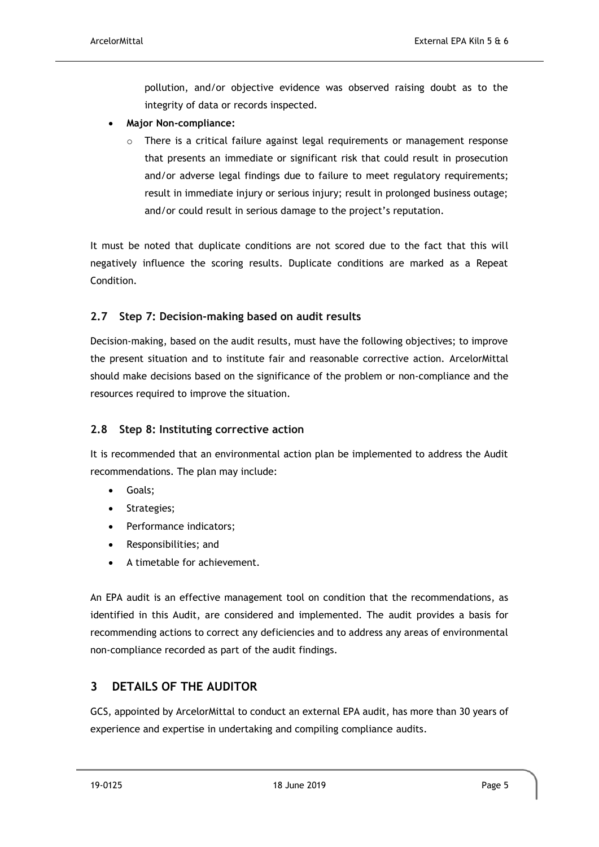pollution, and/or objective evidence was observed raising doubt as to the integrity of data or records inspected.

- **Major Non-compliance:**
	- There is a critical failure against legal requirements or management response that presents an immediate or significant risk that could result in prosecution and/or adverse legal findings due to failure to meet regulatory requirements; result in immediate injury or serious injury; result in prolonged business outage; and/or could result in serious damage to the project's reputation.

It must be noted that duplicate conditions are not scored due to the fact that this will negatively influence the scoring results. Duplicate conditions are marked as a Repeat Condition.

# <span id="page-9-0"></span>**2.7 Step 7: Decision-making based on audit results**

Decision-making, based on the audit results, must have the following objectives; to improve the present situation and to institute fair and reasonable corrective action. ArcelorMittal should make decisions based on the significance of the problem or non-compliance and the resources required to improve the situation.

## <span id="page-9-1"></span>**2.8 Step 8: Instituting corrective action**

It is recommended that an environmental action plan be implemented to address the Audit recommendations. The plan may include:

- Goals;
- Strategies;
- Performance indicators;
- Responsibilities; and
- A timetable for achievement.

An EPA audit is an effective management tool on condition that the recommendations, as identified in this Audit, are considered and implemented. The audit provides a basis for recommending actions to correct any deficiencies and to address any areas of environmental non-compliance recorded as part of the audit findings.

# <span id="page-9-2"></span>**3 DETAILS OF THE AUDITOR**

GCS, appointed by ArcelorMittal to conduct an external EPA audit, has more than 30 years of experience and expertise in undertaking and compiling compliance audits.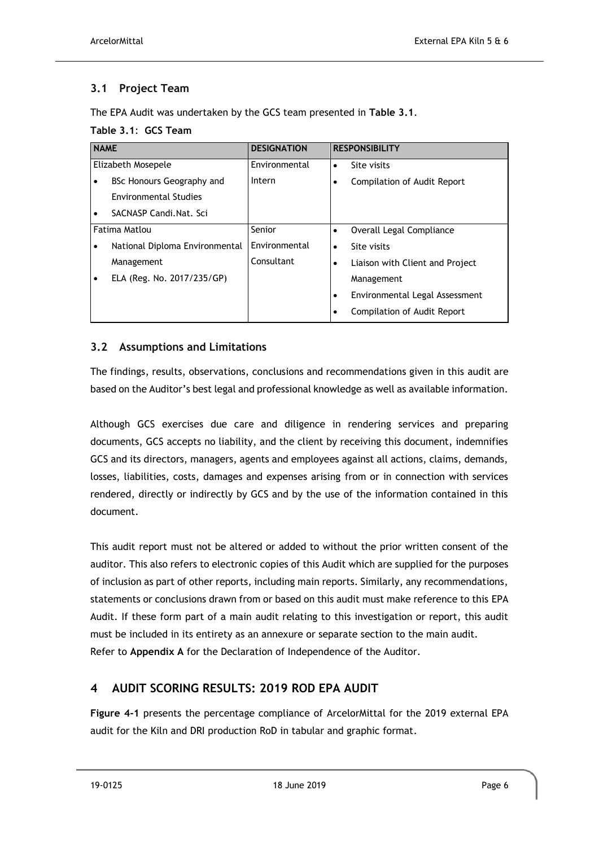# <span id="page-10-0"></span>**3.1 Project Team**

The EPA Audit was undertaken by the GCS team presented in **[Table 3.1](#page-10-3)**.

### <span id="page-10-3"></span>**Table 3.1**: **GCS Team**

| <b>NAME</b> |                                | <b>DESIGNATION</b> |           | <b>RESPONSIBILITY</b>           |
|-------------|--------------------------------|--------------------|-----------|---------------------------------|
|             | Elizabeth Mosepele             | Environmental      | $\bullet$ | Site visits                     |
|             | BSc Honours Geography and      | Intern             |           | Compilation of Audit Report     |
|             | <b>Environmental Studies</b>   |                    |           |                                 |
| ٠           | SACNASP Candi.Nat. Sci         |                    |           |                                 |
|             | Fatima Matlou                  | Senior             |           | Overall Legal Compliance        |
|             | National Diploma Environmental | Environmental      | $\bullet$ | Site visits                     |
|             | Management                     | Consultant         | ٠         | Liaison with Client and Project |
|             | ELA (Reg. No. 2017/235/GP)     |                    |           | Management                      |
|             |                                |                    | ٠         | Environmental Legal Assessment  |
|             |                                |                    |           | Compilation of Audit Report     |

## <span id="page-10-1"></span>**3.2 Assumptions and Limitations**

The findings, results, observations, conclusions and recommendations given in this audit are based on the Auditor's best legal and professional knowledge as well as available information.

Although GCS exercises due care and diligence in rendering services and preparing documents, GCS accepts no liability, and the client by receiving this document, indemnifies GCS and its directors, managers, agents and employees against all actions, claims, demands, losses, liabilities, costs, damages and expenses arising from or in connection with services rendered, directly or indirectly by GCS and by the use of the information contained in this document.

This audit report must not be altered or added to without the prior written consent of the auditor. This also refers to electronic copies of this Audit which are supplied for the purposes of inclusion as part of other reports, including main reports. Similarly, any recommendations, statements or conclusions drawn from or based on this audit must make reference to this EPA Audit. If these form part of a main audit relating to this investigation or report, this audit must be included in its entirety as an annexure or separate section to the main audit. Refer to **Appendix A** for the Declaration of Independence of the Auditor.

# <span id="page-10-2"></span>**4 AUDIT SCORING RESULTS: 2019 ROD EPA AUDIT**

**[Figure 4-1](#page-11-1)** presents the percentage compliance of ArcelorMittal for the 2019 external EPA audit for the Kiln and DRI production RoD in tabular and graphic format.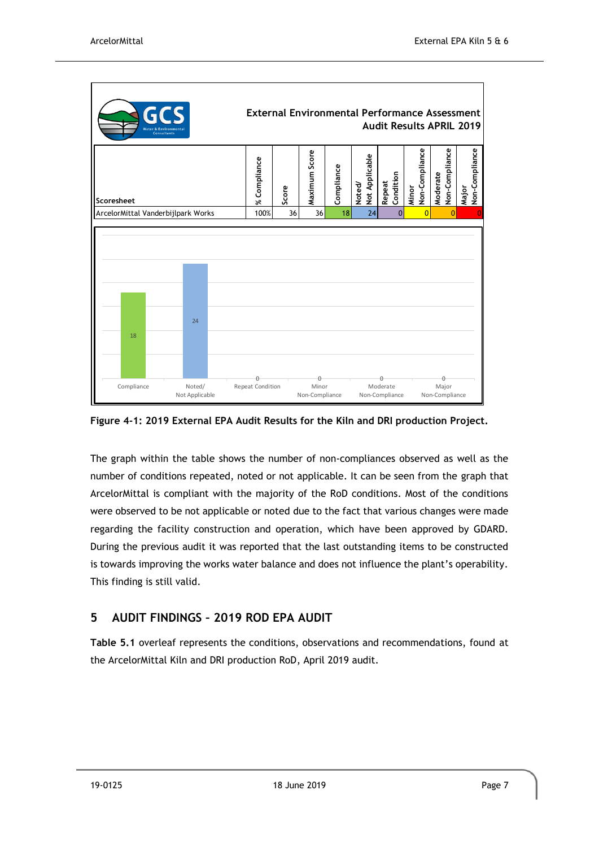

<span id="page-11-1"></span>**Figure 4-1: 2019 External EPA Audit Results for the Kiln and DRI production Project.**

The graph within the table shows the number of non-compliances observed as well as the number of conditions repeated, noted or not applicable. It can be seen from the graph that ArcelorMittal is compliant with the majority of the RoD conditions. Most of the conditions were observed to be not applicable or noted due to the fact that various changes were made regarding the facility construction and operation, which have been approved by GDARD. During the previous audit it was reported that the last outstanding items to be constructed is towards improving the works water balance and does not influence the plant's operability. This finding is still valid.

# <span id="page-11-0"></span>**5 AUDIT FINDINGS – 2019 ROD EPA AUDIT**

**[Table 5.1](#page-12-0)** overleaf represents the conditions, observations and recommendations, found at the ArcelorMittal Kiln and DRI production RoD, April 2019 audit.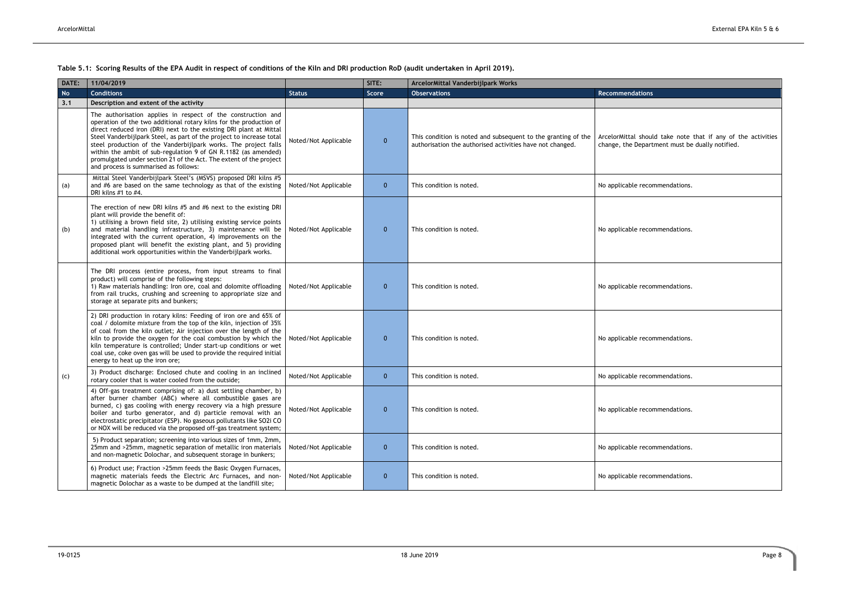<span id="page-12-0"></span>**Table 5.1: Scoring Results of the EPA Audit in respect of conditions of the Kiln and DRI production RoD (audit undertaken in April 2019).**

| <b>Recommendations</b>                                                                                          |
|-----------------------------------------------------------------------------------------------------------------|
| ArcelorMittal should take note that if any of the activities<br>change, the Department must be dually notified. |
| No applicable recommendations.                                                                                  |
| No applicable recommendations.                                                                                  |
| No applicable recommendations.                                                                                  |
| No applicable recommendations.                                                                                  |
| No applicable recommendations.                                                                                  |
| No applicable recommendations.                                                                                  |
| No applicable recommendations.                                                                                  |
| No applicable recommendations.                                                                                  |

| DATE:     | 11/04/2019                                                                                                                                                                                                                                                                                                                                                                                                                                                                                                                           |                      | SITE:        | ArcelorMittal Vanderbijlpark Works                                                                                         |                                                                  |
|-----------|--------------------------------------------------------------------------------------------------------------------------------------------------------------------------------------------------------------------------------------------------------------------------------------------------------------------------------------------------------------------------------------------------------------------------------------------------------------------------------------------------------------------------------------|----------------------|--------------|----------------------------------------------------------------------------------------------------------------------------|------------------------------------------------------------------|
| <b>No</b> | <b>Conditions</b>                                                                                                                                                                                                                                                                                                                                                                                                                                                                                                                    | <b>Status</b>        | Score        | <b>Observations</b>                                                                                                        | <b>Recommendations</b>                                           |
| 3.1       | Description and extent of the activity                                                                                                                                                                                                                                                                                                                                                                                                                                                                                               |                      |              |                                                                                                                            |                                                                  |
|           | The authorisation applies in respect of the construction and<br>operation of the two additional rotary kilns for the production of<br>direct reduced iron (DRI) next to the existing DRI plant at Mittal<br>Steel Vanderbijlpark Steel, as part of the project to increase total<br>steel production of the Vanderbijlpark works. The project falls<br>within the ambit of sub-regulation 9 of GN R.1182 (as amended)<br>promulgated under section 21 of the Act. The extent of the project<br>and process is summarised as follows: | Noted/Not Applicable | $\mathbf{0}$ | This condition is noted and subsequent to the granting of the<br>authorisation the authorised activities have not changed. | ArcelorMittal should take note<br>change, the Department must be |
| (a)       | Mittal Steel Vanderbijlpark Steel's (MSVS) proposed DRI kilns #5<br>and #6 are based on the same technology as that of the existing<br>DRI kilns #1 to #4.                                                                                                                                                                                                                                                                                                                                                                           | Noted/Not Applicable | $\mathbf{0}$ | This condition is noted.                                                                                                   | No applicable recommendations.                                   |
| (b)       | The erection of new DRI kilns #5 and #6 next to the existing DRI<br>plant will provide the benefit of:<br>1) utilising a brown field site, 2) utilising existing service points<br>and material handling infrastructure, 3) maintenance will be<br>integrated with the current operation, 4) improvements on the<br>proposed plant will benefit the existing plant, and 5) providing<br>additional work opportunities within the Vanderbijlpark works.                                                                               | Noted/Not Applicable | $\mathbf{0}$ | This condition is noted.                                                                                                   | No applicable recommendations.                                   |
|           | The DRI process (entire process, from input streams to final<br>product) will comprise of the following steps:<br>1) Raw materials handling: Iron ore, coal and dolomite offloading<br>from rail trucks, crushing and screening to appropriate size and<br>storage at separate pits and bunkers;                                                                                                                                                                                                                                     | Noted/Not Applicable | $\mathbf{0}$ | This condition is noted.                                                                                                   | No applicable recommendations.                                   |
|           | 2) DRI production in rotary kilns: Feeding of iron ore and 65% of<br>coal / dolomite mixture from the top of the kiln, injection of 35%<br>of coal from the kiln outlet; Air injection over the length of the<br>kiln to provide the oxygen for the coal combustion by which the<br>kiln temperature is controlled; Under start-up conditions or wet<br>coal use, coke oven gas will be used to provide the required initial<br>energy to heat up the iron ore;                                                                      | Noted/Not Applicable | $\mathbf{0}$ | This condition is noted.                                                                                                   | No applicable recommendations.                                   |
| (c)       | 3) Product discharge: Enclosed chute and cooling in an inclined<br>rotary cooler that is water cooled from the outside;                                                                                                                                                                                                                                                                                                                                                                                                              | Noted/Not Applicable | $\mathbf{0}$ | This condition is noted.                                                                                                   | No applicable recommendations.                                   |
|           | 4) Off-gas treatment comprising of: a) dust settling chamber, b)<br>after burner chamber (ABC) where all combustible gases are<br>burned, c) gas cooling with energy recovery via a high pressure<br>boiler and turbo generator, and d) particle removal with an<br>electrostatic precipitator (ESP). No gaseous pollutants like SO2i CO<br>or NOX will be reduced via the proposed off-gas treatment system;                                                                                                                        | Noted/Not Applicable | $\mathbf{0}$ | This condition is noted.                                                                                                   | No applicable recommendations.                                   |
|           | 5) Product separation; screening into various sizes of 1mm, 2mm,<br>25mm and >25mm, magnetic separation of metallic iron materials<br>and non-magnetic Dolochar, and subsequent storage in bunkers;                                                                                                                                                                                                                                                                                                                                  | Noted/Not Applicable | $\mathbf{0}$ | This condition is noted.                                                                                                   | No applicable recommendations.                                   |
|           | 6) Product use; Fraction >25mm feeds the Basic Oxygen Furnaces,<br>magnetic materials feeds the Electric Arc Furnaces, and non-<br>magnetic Dolochar as a waste to be dumped at the landfill site;                                                                                                                                                                                                                                                                                                                                   | Noted/Not Applicable | $\mathbf{0}$ | This condition is noted.                                                                                                   | No applicable recommendations.                                   |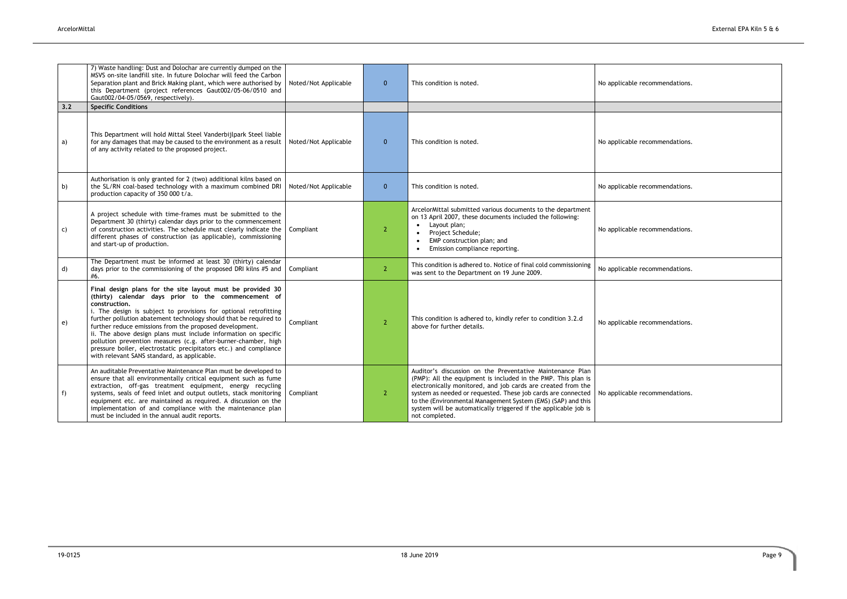|     | 7) Waste handling: Dust and Dolochar are currently dumped on the<br>MSVS on-site landfill site. In future Dolochar will feed the Carbon<br>Separation plant and Brick Making plant, which were authorised by<br>this Department (project references Gaut002/05-06/0510 and<br>Gaut002/04-05/0569, respectively).                                                                                                                                                                                                                                                                                | Noted/Not Applicable | $\mathbf{0}$   | This condition is noted.                                                                                                                                                                                                                                                                                                                                                                                        | No applicable recommendations. |
|-----|-------------------------------------------------------------------------------------------------------------------------------------------------------------------------------------------------------------------------------------------------------------------------------------------------------------------------------------------------------------------------------------------------------------------------------------------------------------------------------------------------------------------------------------------------------------------------------------------------|----------------------|----------------|-----------------------------------------------------------------------------------------------------------------------------------------------------------------------------------------------------------------------------------------------------------------------------------------------------------------------------------------------------------------------------------------------------------------|--------------------------------|
| 3.2 | <b>Specific Conditions</b>                                                                                                                                                                                                                                                                                                                                                                                                                                                                                                                                                                      |                      |                |                                                                                                                                                                                                                                                                                                                                                                                                                 |                                |
| a)  | This Department will hold Mittal Steel Vanderbijlpark Steel liable<br>for any damages that may be caused to the environment as a result<br>of any activity related to the proposed project.                                                                                                                                                                                                                                                                                                                                                                                                     | Noted/Not Applicable | $\overline{0}$ | This condition is noted.                                                                                                                                                                                                                                                                                                                                                                                        | No applicable recommendations. |
| b)  | Authorisation is only granted for 2 (two) additional kilns based on<br>the SL/RN coal-based technology with a maximum combined DRI<br>production capacity of 350 000 t/a.                                                                                                                                                                                                                                                                                                                                                                                                                       | Noted/Not Applicable | $\overline{0}$ | This condition is noted.                                                                                                                                                                                                                                                                                                                                                                                        | No applicable recommendations. |
| C)  | A project schedule with time-frames must be submitted to the<br>Department 30 (thirty) calendar days prior to the commencement<br>of construction activities. The schedule must clearly indicate the<br>different phases of construction (as applicable), commissioning<br>and start-up of production.                                                                                                                                                                                                                                                                                          | Compliant            | $\overline{2}$ | ArcelorMittal submitted various documents to the department<br>on 13 April 2007, these documents included the following:<br>Layout plan;<br>$\bullet$<br>Project Schedule;<br>$\bullet$<br>EMP construction plan; and<br>$\bullet$<br>Emission compliance reporting.<br>$\bullet$                                                                                                                               | No applicable recommendations. |
| d)  | The Department must be informed at least 30 (thirty) calendar<br>days prior to the commissioning of the proposed DRI kilns #5 and<br>#6.                                                                                                                                                                                                                                                                                                                                                                                                                                                        | Compliant            | $\overline{2}$ | This condition is adhered to. Notice of final cold commissioning<br>was sent to the Department on 19 June 2009.                                                                                                                                                                                                                                                                                                 | No applicable recommendations. |
| e)  | Final design plans for the site layout must be provided 30<br>(thirty) calendar days prior to the commencement of<br>construction.<br>i. The design is subject to provisions for optional retrofitting<br>further pollution abatement technology should that be required to<br>further reduce emissions from the proposed development.<br>ii. The above design plans must include information on specific<br>pollution prevention measures (c.g. after-burner-chamber, high<br>pressure boiler, electrostatic precipitators etc.) and compliance<br>with relevant SANS standard, as applicable. | Compliant            | $\overline{2}$ | This condition is adhered to, kindly refer to condition 3.2.d<br>above for further details.                                                                                                                                                                                                                                                                                                                     | No applicable recommendations. |
| f)  | An auditable Preventative Maintenance Plan must be developed to<br>ensure that all environmentally critical equipment such as fume<br>extraction, off-gas treatment equipment, energy recycling<br>systems, seals of feed inlet and output outlets, stack monitoring<br>equipment etc. are maintained as required. A discussion on the<br>implementation of and compliance with the maintenance plan<br>must be included in the annual audit reports.                                                                                                                                           | Compliant            | $\mathbf{2}$   | Auditor's discussion on the Preventative Maintenance Plan<br>(PMP): All the equipment is included in the PMP. This plan is<br>electronically monitored, and job cards are created from the<br>system as needed or requested. These job cards are connected<br>to the (Environmental Management System (EMS) (SAP) and this<br>system will be automatically triggered if the applicable job is<br>not completed. | No applicable recommendations. |

| No applicable recommendations. |
|--------------------------------|
|                                |
| No applicable recommendations. |
| No applicable recommendations. |
| No applicable recommendations. |
| No applicable recommendations. |
| No applicable recommendations. |
| No applicable recommendations. |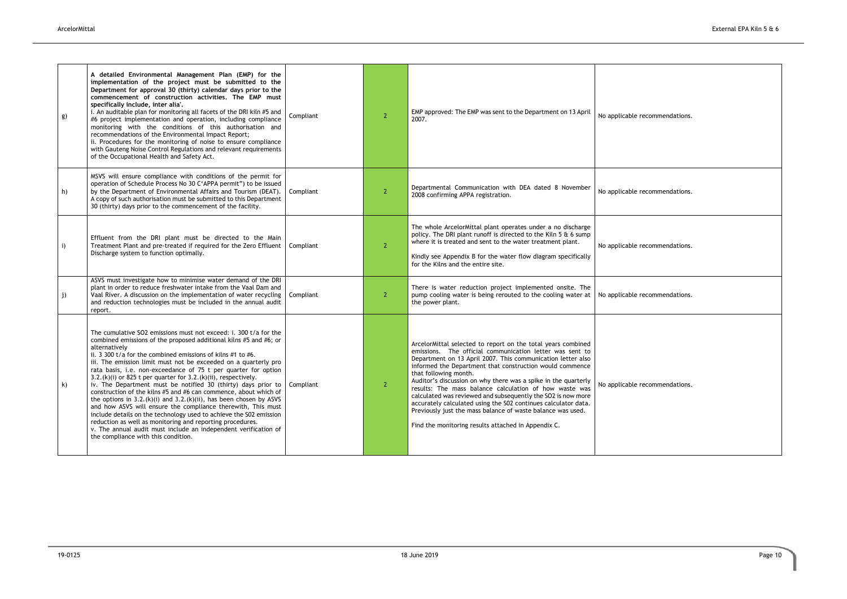| g) | A detailed Environmental Management Plan (EMP) for the<br>implementation of the project must be submitted to the<br>Department for approval 30 (thirty) calendar days prior to the<br>commencement of construction activities. The EMP must<br>specifically include, inter alia'.<br>i. An auditable plan for monitoring all facets of the DRI kiln #5 and<br>#6 project implementation and operation, including compliance<br>monitoring with the conditions of this authorisation and<br>recommendations of the Environmental Impact Report;<br>ii. Procedures for the monitoring of noise to ensure compliance<br>with Gauteng Noise Control Regulations and relevant requirements<br>of the Occupational Health and Safety Act.                                                                                                                                                                                                                       | Compliant | $\overline{2}$ | EMP approved: The EMP was sent to the Department on 13 April<br>2007.                                                                                                                                                                                                                                                                                                                                                                                                                                                                                                                                                                                            | No applicable recommendations. |
|----|-----------------------------------------------------------------------------------------------------------------------------------------------------------------------------------------------------------------------------------------------------------------------------------------------------------------------------------------------------------------------------------------------------------------------------------------------------------------------------------------------------------------------------------------------------------------------------------------------------------------------------------------------------------------------------------------------------------------------------------------------------------------------------------------------------------------------------------------------------------------------------------------------------------------------------------------------------------|-----------|----------------|------------------------------------------------------------------------------------------------------------------------------------------------------------------------------------------------------------------------------------------------------------------------------------------------------------------------------------------------------------------------------------------------------------------------------------------------------------------------------------------------------------------------------------------------------------------------------------------------------------------------------------------------------------------|--------------------------------|
| h) | MSVS will ensure compliance with conditions of the permit for<br>operation of Schedule Process No 30 C'APPA permit") to be issued<br>by the Department of Environmental Affairs and Tourism (DEAT).<br>A copy of such authorisation must be submitted to this Department<br>30 (thirty) days prior to the commencement of the facility.                                                                                                                                                                                                                                                                                                                                                                                                                                                                                                                                                                                                                   | Compliant | $\overline{2}$ | Departmental Communication with DEA dated 8 November<br>2008 confirming APPA registration.                                                                                                                                                                                                                                                                                                                                                                                                                                                                                                                                                                       | No applicable recommendations. |
| i) | Effluent from the DRI plant must be directed to the Main<br>Treatment Plant and pre-treated if required for the Zero Effluent<br>Discharge system to function optimally.                                                                                                                                                                                                                                                                                                                                                                                                                                                                                                                                                                                                                                                                                                                                                                                  | Compliant | $\overline{2}$ | The whole ArcelorMittal plant operates under a no discharge<br>policy. The DRI plant runoff is directed to the Kiln 5 & 6 sump<br>where it is treated and sent to the water treatment plant.<br>Kindly see Appendix B for the water flow diagram specifically<br>for the Kilns and the entire site.                                                                                                                                                                                                                                                                                                                                                              | No applicable recommendations. |
| j) | ASVS must investigate how to minimise water demand of the DRI<br>plant in order to reduce freshwater intake from the Vaal Dam and<br>Vaal River. A discussion on the implementation of water recycling<br>and reduction technologies must be included in the annual audit<br>report.                                                                                                                                                                                                                                                                                                                                                                                                                                                                                                                                                                                                                                                                      | Compliant | $\overline{2}$ | There is water reduction project implemented onsite. The<br>pump cooling water is being rerouted to the cooling water at<br>the power plant.                                                                                                                                                                                                                                                                                                                                                                                                                                                                                                                     | No applicable recommendations. |
| k) | The cumulative SO2 emissions must not exceed: i. 300 t/a for the<br>combined emissions of the proposed additional kilns #5 and #6; or<br>alternatively<br>ii. 3 300 t/a for the combined emissions of kilns #1 to #6.<br>iii. The emission limit must not be exceeded on a quarterly pro<br>rata basis, i.e. non-exceedance of 75 t per quarter for option<br>3.2.(k)(i) or 825 t per quarter for 3.2.(k)(ii), respectively.<br>iv. The Department must be notified 30 (thirty) days prior to<br>construction of the kilns #5 and #6 can commence, about which of<br>the options in $3.2.(k)(i)$ and $3.2.(k)(ii)$ , has been chosen by ASVS<br>and how ASVS will ensure the compliance therewith, This must<br>include details on the technology used to achieve the S02 emission<br>reduction as well as monitoring and reporting procedures.<br>v. The annual audit must include an independent verification of<br>the compliance with this condition. | Compliant | $\overline{2}$ | ArcelorMittal selected to report on the total years combined<br>emissions. The official communication letter was sent to<br>Department on 13 April 2007. This communication letter also<br>informed the Department that construction would commence<br>that following month.<br>Auditor's discussion on why there was a spike in the quarterly<br>results: The mass balance calculation of how waste was<br>calculated was reviewed and subsequently the SO2 is now more<br>accurately calculated using the S02 continues calculator data.<br>Previously just the mass balance of waste balance was used.<br>Find the monitoring results attached in Appendix C. | No applicable recommendations. |

| No applicable recommendations. |
|--------------------------------|
| No applicable recommendations. |
| No applicable recommendations. |
| No applicable recommendations. |
| No applicable recommendations. |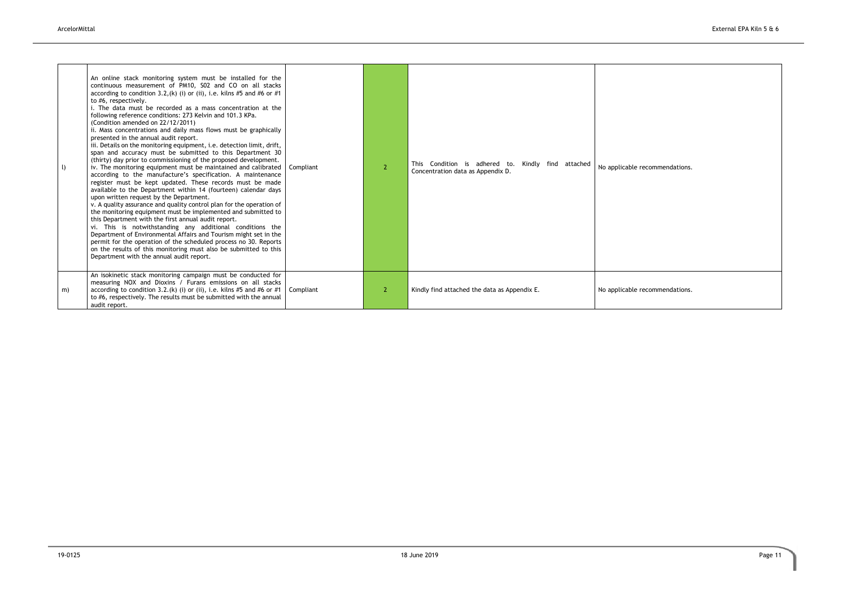recommendations.

recommendations.

| $\cup$ | An online stack monitoring system must be installed for the<br>continuous measurement of PM10, S02 and CO on all stacks<br>according to condition 3.2, (k) (i) or (ii), i.e. kilns #5 and #6 or #1<br>to #6, respectively.<br>i. The data must be recorded as a mass concentration at the<br>following reference conditions: 273 Kelvin and 101.3 KPa.<br>(Condition amended on 22/12/2011)<br>ii. Mass concentrations and daily mass flows must be graphically<br>presented in the annual audit report.<br>iii. Details on the monitoring equipment, i.e. detection limit, drift,<br>span and accuracy must be submitted to this Department 30<br>(thirty) day prior to commissioning of the proposed development.<br>iv. The monitoring equipment must be maintained and calibrated<br>according to the manufacture's specification. A maintenance<br>register must be kept updated. These records must be made<br>available to the Department within 14 (fourteen) calendar days<br>upon written request by the Department.<br>v. A quality assurance and quality control plan for the operation of<br>the monitoring equipment must be implemented and submitted to<br>this Department with the first annual audit report.<br>vi. This is notwithstanding any additional conditions the<br>Department of Environmental Affairs and Tourism might set in the<br>permit for the operation of the scheduled process no 30. Reports<br>on the results of this monitoring must also be submitted to this<br>Department with the annual audit report. | Compliant | 2 | This Condition is adhered to.<br>Kindly find attached<br>Concentration data as Appendix D. | No applicable r |
|--------|-----------------------------------------------------------------------------------------------------------------------------------------------------------------------------------------------------------------------------------------------------------------------------------------------------------------------------------------------------------------------------------------------------------------------------------------------------------------------------------------------------------------------------------------------------------------------------------------------------------------------------------------------------------------------------------------------------------------------------------------------------------------------------------------------------------------------------------------------------------------------------------------------------------------------------------------------------------------------------------------------------------------------------------------------------------------------------------------------------------------------------------------------------------------------------------------------------------------------------------------------------------------------------------------------------------------------------------------------------------------------------------------------------------------------------------------------------------------------------------------------------------------------------------------------------|-----------|---|--------------------------------------------------------------------------------------------|-----------------|
| m)     | An isokinetic stack monitoring campaign must be conducted for<br>measuring NOX and Dioxins / Furans emissions on all stacks<br>according to condition 3.2.(k) (i) or (ii), i.e. kilns #5 and #6 or #1<br>to #6, respectively. The results must be submitted with the annual<br>audit report.                                                                                                                                                                                                                                                                                                                                                                                                                                                                                                                                                                                                                                                                                                                                                                                                                                                                                                                                                                                                                                                                                                                                                                                                                                                        | Compliant | 2 | Kindly find attached the data as Appendix E.                                               | No applicable r |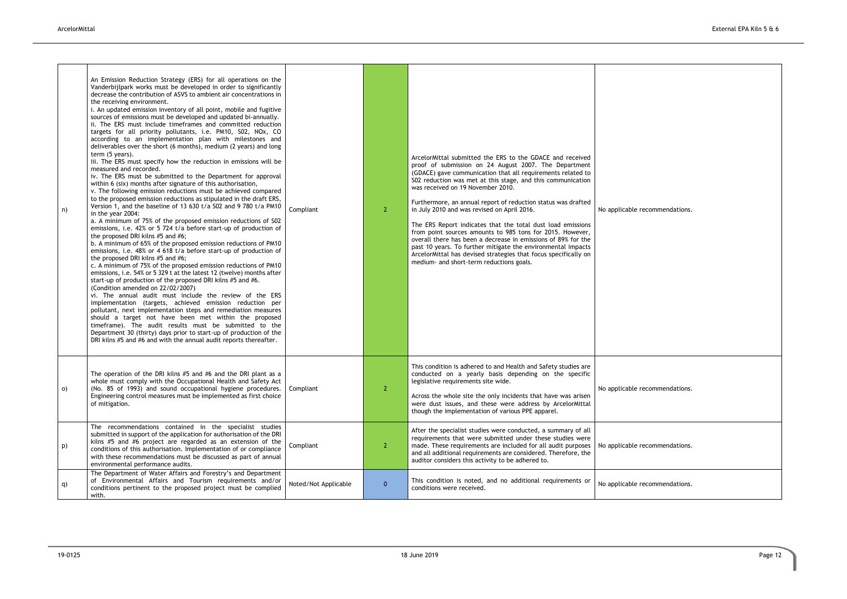recommendations.

recommendations.

recommendations.

recommendations.

| n) | An Emission Reduction Strategy (ERS) for all operations on the<br>Vanderbijlpark works must be developed in order to significantly<br>decrease the contribution of ASVS to ambient air concentrations in<br>the receiving environment.<br>i. An updated emission inventory of all point, mobile and fugitive<br>sources of emissions must be developed and updated bi-annually.<br>ii. The ERS must include timeframes and committed reduction<br>targets for all priority pollutants, i.e. PM10, S02, NOx, CO<br>according to an implementation plan with milestones and<br>deliverables over the short (6 months), medium (2 years) and long<br>term (5 years).<br>iii. The ERS must specify how the reduction in emissions will be<br>measured and recorded.<br>iv. The ERS must be submitted to the Department for approval<br>within 6 (six) months after signature of this authorisation,<br>v. The following emission reductions must be achieved compared<br>to the proposed emission reductions as stipulated in the draft ERS,<br>Version 1, and the baseline of 13 630 t/a S02 and 9 780 t/a PM10<br>in the year 2004:<br>a. A minimum of 75% of the proposed emission reductions of S02<br>emissions, i.e. 42% or 5 724 t/a before start-up of production of<br>the proposed DRI kilns #5 and #6;<br>b. A minimum of 65% of the proposed emission reductions of PM10<br>emissions, i.e. 48% or 4 618 t/a before start-up of production of<br>the proposed DRI kilns #5 and #6;<br>c. A minimum of 75% of the proposed emission reductions of PM10<br>emissions, i.e. 54% or 5 329 t at the latest 12 (twelve) months after<br>start-up of production of the proposed DRI kilns #5 and #6.<br>(Condition amended on 22/02/2007)<br>vi. The annual audit must include the review of the ERS<br>implementation (targets, achieved emission reduction per<br>pollutant, next implementation steps and remediation measures<br>should a target not have been met within the proposed<br>timeframe). The audit results must be submitted to the<br>Department 30 (thirty) days prior to start-up of production of the<br>DRI kilns #5 and #6 and with the annual audit reports thereafter. | Compliant            | $\mathbf{2}^{\prime}$ | ArcelorMittal submitted the ERS to the GDACE and received<br>proof of submission on 24 August 2007. The Department<br>(GDACE) gave communication that all requirements related to<br>S02 reduction was met at this stage, and this communication<br>was received on 19 November 2010.<br>Furthermore, an annual report of reduction status was drafted<br>in July 2010 and was revised on April 2016.<br>The ERS Report indicates that the total dust load emissions<br>from point sources amounts to 985 tons for 2015. However,<br>overall there has been a decrease in emissions of 89% for the<br>past 10 years. To further mitigate the environmental impacts<br>ArcelorMittal has devised strategies that focus specifically on<br>medium- and short-term reductions goals. | No applicable r |
|----|--------------------------------------------------------------------------------------------------------------------------------------------------------------------------------------------------------------------------------------------------------------------------------------------------------------------------------------------------------------------------------------------------------------------------------------------------------------------------------------------------------------------------------------------------------------------------------------------------------------------------------------------------------------------------------------------------------------------------------------------------------------------------------------------------------------------------------------------------------------------------------------------------------------------------------------------------------------------------------------------------------------------------------------------------------------------------------------------------------------------------------------------------------------------------------------------------------------------------------------------------------------------------------------------------------------------------------------------------------------------------------------------------------------------------------------------------------------------------------------------------------------------------------------------------------------------------------------------------------------------------------------------------------------------------------------------------------------------------------------------------------------------------------------------------------------------------------------------------------------------------------------------------------------------------------------------------------------------------------------------------------------------------------------------------------------------------------------------------------------------------------------------------------------------------------------------------|----------------------|-----------------------|-----------------------------------------------------------------------------------------------------------------------------------------------------------------------------------------------------------------------------------------------------------------------------------------------------------------------------------------------------------------------------------------------------------------------------------------------------------------------------------------------------------------------------------------------------------------------------------------------------------------------------------------------------------------------------------------------------------------------------------------------------------------------------------|-----------------|
| O) | The operation of the DRI kilns #5 and #6 and the DRI plant as a<br>whole must comply with the Occupational Health and Safety Act<br>(No. 85 of 1993) and sound occupational hygiene procedures.<br>Engineering control measures must be implemented as first choice<br>of mitigation.                                                                                                                                                                                                                                                                                                                                                                                                                                                                                                                                                                                                                                                                                                                                                                                                                                                                                                                                                                                                                                                                                                                                                                                                                                                                                                                                                                                                                                                                                                                                                                                                                                                                                                                                                                                                                                                                                                            | Compliant            | $\overline{2}$        | This condition is adhered to and Health and Safety studies are<br>conducted on a yearly basis depending on the specific<br>legislative requirements site wide.<br>Across the whole site the only incidents that have was arisen<br>were dust issues, and these were address by ArcelorMittal<br>though the implementation of various PPE apparel.                                                                                                                                                                                                                                                                                                                                                                                                                                 | No applicable r |
| p) | The recommendations contained in the specialist studies<br>submitted in support of the application for authorisation of the DRI<br>kilns #5 and #6 project are regarded as an extension of the<br>conditions of this authorisation. Implementation of or compliance<br>with these recommendations must be discussed as part of annual<br>environmental performance audits.                                                                                                                                                                                                                                                                                                                                                                                                                                                                                                                                                                                                                                                                                                                                                                                                                                                                                                                                                                                                                                                                                                                                                                                                                                                                                                                                                                                                                                                                                                                                                                                                                                                                                                                                                                                                                       | Compliant            | 2 <sup>1</sup>        | After the specialist studies were conducted, a summary of all<br>requirements that were submitted under these studies were<br>made. These requirements are included for all audit purposes<br>and all additional requirements are considered. Therefore, the<br>auditor considers this activity to be adhered to.                                                                                                                                                                                                                                                                                                                                                                                                                                                                 | No applicable r |
| q) | The Department of Water Affairs and Forestry's and Department<br>of Environmental Affairs and Tourism requirements and/or<br>conditions pertinent to the proposed project must be complied<br>with.                                                                                                                                                                                                                                                                                                                                                                                                                                                                                                                                                                                                                                                                                                                                                                                                                                                                                                                                                                                                                                                                                                                                                                                                                                                                                                                                                                                                                                                                                                                                                                                                                                                                                                                                                                                                                                                                                                                                                                                              | Noted/Not Applicable | $\mathbf{0}$          | This condition is noted, and no additional requirements or<br>conditions were received.                                                                                                                                                                                                                                                                                                                                                                                                                                                                                                                                                                                                                                                                                           | No applicable r |
|    |                                                                                                                                                                                                                                                                                                                                                                                                                                                                                                                                                                                                                                                                                                                                                                                                                                                                                                                                                                                                                                                                                                                                                                                                                                                                                                                                                                                                                                                                                                                                                                                                                                                                                                                                                                                                                                                                                                                                                                                                                                                                                                                                                                                                  |                      |                       |                                                                                                                                                                                                                                                                                                                                                                                                                                                                                                                                                                                                                                                                                                                                                                                   |                 |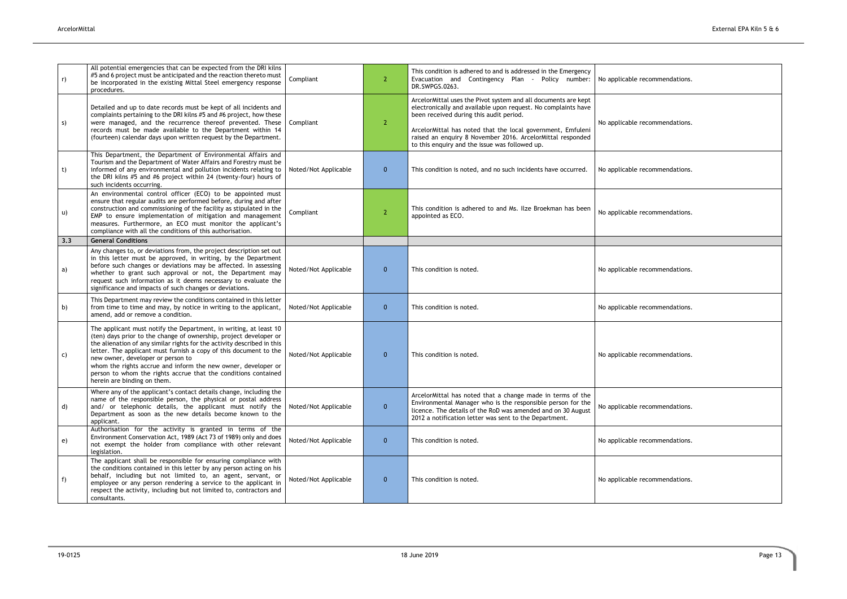| No applicable recommendations. |
|--------------------------------|
| No applicable recommendations. |
| No applicable recommendations. |
| No applicable recommendations. |
|                                |
| No applicable recommendations. |
| No applicable recommendations. |
| No applicable recommendations. |
| No applicable recommendations. |
| No applicable recommendations. |
| No applicable recommendations. |

| r)  | All potential emergencies that can be expected from the DRI kilns<br>#5 and 6 project must be anticipated and the reaction thereto must<br>be incorporated in the existing Mittal Steel emergency response<br>procedures.                                                                                                                                                                                                                                                                     | Compliant            | $\overline{2}$ | This condition is adhered to and is addressed in the Emergency<br>Evacuation and Contingency Plan - Policy number:<br>DR.SWPGS.0263.                                                                                                                                                                                                                      | No applicable recommendations. |
|-----|-----------------------------------------------------------------------------------------------------------------------------------------------------------------------------------------------------------------------------------------------------------------------------------------------------------------------------------------------------------------------------------------------------------------------------------------------------------------------------------------------|----------------------|----------------|-----------------------------------------------------------------------------------------------------------------------------------------------------------------------------------------------------------------------------------------------------------------------------------------------------------------------------------------------------------|--------------------------------|
| S)  | Detailed and up to date records must be kept of all incidents and<br>complaints pertaining to the DRI kilns #5 and #6 project, how these<br>were managed, and the recurrence thereof prevented. These<br>records must be made available to the Department within 14<br>(fourteen) calendar days upon written request by the Department.                                                                                                                                                       | Compliant            | 2              | ArcelorMittal uses the Pivot system and all documents are kept<br>electronically and available upon request. No complaints have<br>been received during this audit period.<br>ArcelorMittal has noted that the local government, Emfuleni<br>raised an enquiry 8 November 2016. ArcelorMittal responded<br>to this enquiry and the issue was followed up. | No applicable recommendations. |
| t)  | This Department, the Department of Environmental Affairs and<br>Tourism and the Department of Water Affairs and Forestry must be<br>informed of any environmental and pollution incidents relating to<br>the DRI kilns #5 and #6 project within 24 (twenty-four) hours of<br>such incidents occurring.                                                                                                                                                                                        | Noted/Not Applicable | $\mathbf{0}$   | This condition is noted, and no such incidents have occurred.                                                                                                                                                                                                                                                                                             | No applicable recommendations. |
| u)  | An environmental control officer (ECO) to be appointed must<br>ensure that regular audits are performed before, during and after<br>construction and commissioning of the facility as stipulated in the<br>EMP to ensure implementation of mitigation and management<br>measures. Furthermore, an ECO must monitor the applicant's<br>compliance with all the conditions of this authorisation.                                                                                               | Compliant            | $\overline{2}$ | This condition is adhered to and Ms. Ilze Broekman has been<br>appointed as ECO.                                                                                                                                                                                                                                                                          | No applicable recommendations. |
| 3.3 | <b>General Conditions</b>                                                                                                                                                                                                                                                                                                                                                                                                                                                                     |                      |                |                                                                                                                                                                                                                                                                                                                                                           |                                |
| a)  | Any changes to, or deviations from, the project description set out<br>in this letter must be approved, in writing, by the Department<br>before such changes or deviations may be affected. In assessing<br>whether to grant such approval or not, the Department may<br>request such information as it deems necessary to evaluate the<br>significance and impacts of such changes or deviations.                                                                                            | Noted/Not Applicable | $\mathbf{0}$   | This condition is noted.                                                                                                                                                                                                                                                                                                                                  | No applicable recommendations. |
| b)  | This Department may review the conditions contained in this letter<br>from time to time and may, by notice in writing to the applicant,<br>amend, add or remove a condition.                                                                                                                                                                                                                                                                                                                  | Noted/Not Applicable | $\mathbf{0}$   | This condition is noted.                                                                                                                                                                                                                                                                                                                                  | No applicable recommendations. |
| C)  | The applicant must notify the Department, in writing, at least 10<br>(ten) days prior to the change of ownership, project developer or<br>the alienation of any similar rights for the activity described in this<br>letter. The applicant must furnish a copy of this document to the<br>new owner, developer or person to<br>whom the rights accrue and inform the new owner, developer or<br>person to whom the rights accrue that the conditions contained<br>herein are binding on them. | Noted/Not Applicable | $\mathbf{0}$   | This condition is noted.                                                                                                                                                                                                                                                                                                                                  | No applicable recommendations. |
| d)  | Where any of the applicant's contact details change, including the<br>name of the responsible person, the physical or postal address<br>and/ or telephonic details, the applicant must notify the<br>Department as soon as the new details become known to the<br>applicant.                                                                                                                                                                                                                  | Noted/Not Applicable | $\mathbf{0}$   | ArcelorMittal has noted that a change made in terms of the<br>Environmental Manager who is the responsible person for the<br>licence. The details of the RoD was amended and on 30 August<br>2012 a notification letter was sent to the Department.                                                                                                       | No applicable recommendations. |
| e)  | Authorisation for the activity is granted in terms of the<br>Environment Conservation Act, 1989 (Act 73 of 1989) only and does<br>not exempt the holder from compliance with other relevant<br>legislation.                                                                                                                                                                                                                                                                                   | Noted/Not Applicable | $\mathbf{0}$   | This condition is noted.                                                                                                                                                                                                                                                                                                                                  | No applicable recommendations. |
| f)  | The applicant shall be responsible for ensuring compliance with<br>the conditions contained in this letter by any person acting on his<br>behalf, including but not limited to, an agent, servant, or<br>employee or any person rendering a service to the applicant in<br>respect the activity, including but not limited to, contractors and<br>consultants.                                                                                                                                | Noted/Not Applicable | $\mathbf{0}$   | This condition is noted.                                                                                                                                                                                                                                                                                                                                  | No applicable recommendations. |
|     |                                                                                                                                                                                                                                                                                                                                                                                                                                                                                               |                      |                |                                                                                                                                                                                                                                                                                                                                                           |                                |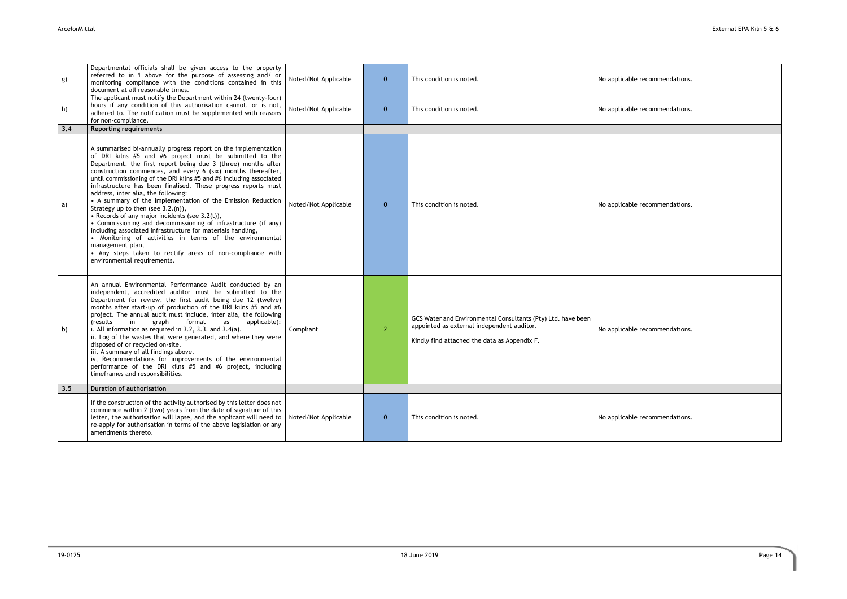| g)  | Departmental officials shall be given access to the property<br>referred to in 1 above for the purpose of assessing and/ or<br>monitoring compliance with the conditions contained in this<br>document at all reasonable times.                                                                                                                                                                                                                                                                                                                                                                                                                                                                                                                                                                                                                                                                                   | Noted/Not Applicable | $\mathbf{0}$   | This condition is noted.                                                                                                                                   | No applicable recommendations. |
|-----|-------------------------------------------------------------------------------------------------------------------------------------------------------------------------------------------------------------------------------------------------------------------------------------------------------------------------------------------------------------------------------------------------------------------------------------------------------------------------------------------------------------------------------------------------------------------------------------------------------------------------------------------------------------------------------------------------------------------------------------------------------------------------------------------------------------------------------------------------------------------------------------------------------------------|----------------------|----------------|------------------------------------------------------------------------------------------------------------------------------------------------------------|--------------------------------|
| h)  | The applicant must notify the Department within 24 (twenty-four)<br>hours if any condition of this authorisation cannot, or is not,<br>adhered to. The notification must be supplemented with reasons<br>for non-compliance.                                                                                                                                                                                                                                                                                                                                                                                                                                                                                                                                                                                                                                                                                      | Noted/Not Applicable | $\mathbf{0}$   | This condition is noted.                                                                                                                                   | No applicable recommendations. |
| 3.4 | <b>Reporting requirements</b>                                                                                                                                                                                                                                                                                                                                                                                                                                                                                                                                                                                                                                                                                                                                                                                                                                                                                     |                      |                |                                                                                                                                                            |                                |
| a)  | A summarised bi-annually progress report on the implementation<br>of DRI kilns #5 and #6 project must be submitted to the<br>Department, the first report being due 3 (three) months after<br>construction commences, and every 6 (six) months thereafter,<br>until commissioning of the DRI kilns #5 and #6 including associated<br>infrastructure has been finalised. These progress reports must<br>address, inter alia, the following:<br>• A summary of the implementation of the Emission Reduction<br>Strategy up to then (see 3.2.(n)),<br>• Records of any major incidents (see $3.2(t)$ ),<br>• Commissioning and decommissioning of infrastructure (if any)<br>including associated infrastructure for materials handling,<br>• Monitoring of activities in terms of the environmental<br>management plan,<br>• Any steps taken to rectify areas of non-compliance with<br>environmental requirements. | Noted/Not Applicable | $\mathbf{0}$   | This condition is noted.                                                                                                                                   | No applicable recommendations. |
| b)  | An annual Environmental Performance Audit conducted by an<br>independent, accredited auditor must be submitted to the<br>Department for review, the first audit being due 12 (twelve)<br>months after start-up of production of the DRI kilns #5 and #6<br>project. The annual audit must include, inter alia, the following<br>in<br>(results<br>graph<br>format<br>applicable):<br>as<br>i. All information as required in 3.2, 3.3. and 3.4(a).<br>ii. Log of the wastes that were generated, and where they were<br>disposed of or recycled on-site.<br>iii. A summary of all findings above.<br>iv, Recommendations for improvements of the environmental<br>performance of the DRI kilns #5 and #6 project, including<br>timeframes and responsibilities.                                                                                                                                                   | Compliant            | 2 <sup>2</sup> | GCS Water and Environmental Consultants (Pty) Ltd. have been<br>appointed as external independent auditor.<br>Kindly find attached the data as Appendix F. | No applicable recommendations. |
| 3.5 | <b>Duration of authorisation</b>                                                                                                                                                                                                                                                                                                                                                                                                                                                                                                                                                                                                                                                                                                                                                                                                                                                                                  |                      |                |                                                                                                                                                            |                                |
|     | If the construction of the activity authorised by this letter does not<br>commence within 2 (two) years from the date of signature of this<br>letter, the authorisation will lapse, and the applicant will need to<br>re-apply for authorisation in terms of the above legislation or any<br>amendments thereto.                                                                                                                                                                                                                                                                                                                                                                                                                                                                                                                                                                                                  | Noted/Not Applicable | $\mathbf{0}$   | This condition is noted.                                                                                                                                   | No applicable recommendations. |

| No applicable recommendations. |
|--------------------------------|
| No applicable recommendations. |
|                                |
| No applicable recommendations. |
| No applicable recommendations. |
|                                |
|                                |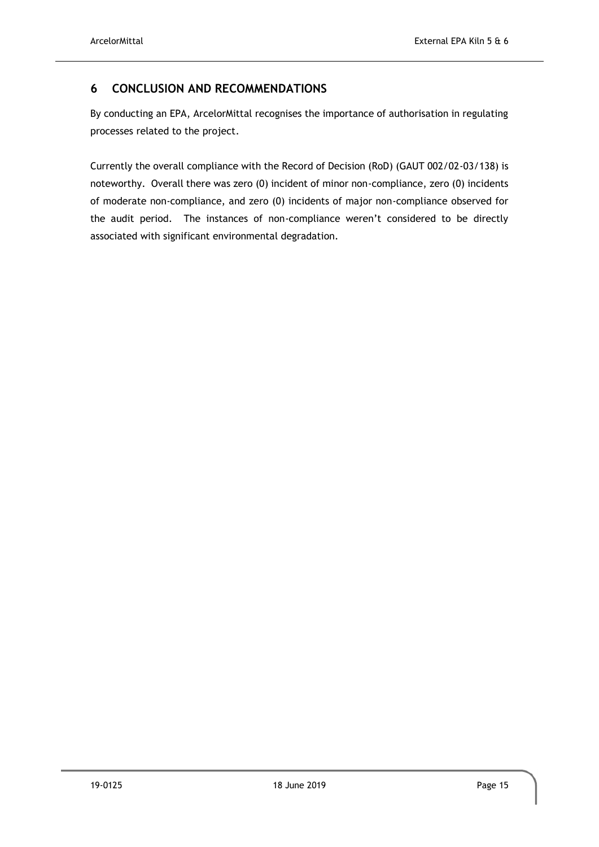# <span id="page-19-0"></span>**6 CONCLUSION AND RECOMMENDATIONS**

By conducting an EPA, ArcelorMittal recognises the importance of authorisation in regulating processes related to the project.

Currently the overall compliance with the Record of Decision (RoD) (GAUT 002/02-03/138) is noteworthy. Overall there was zero (0) incident of minor non-compliance, zero (0) incidents of moderate non-compliance, and zero (0) incidents of major non-compliance observed for the audit period. The instances of non-compliance weren't considered to be directly associated with significant environmental degradation.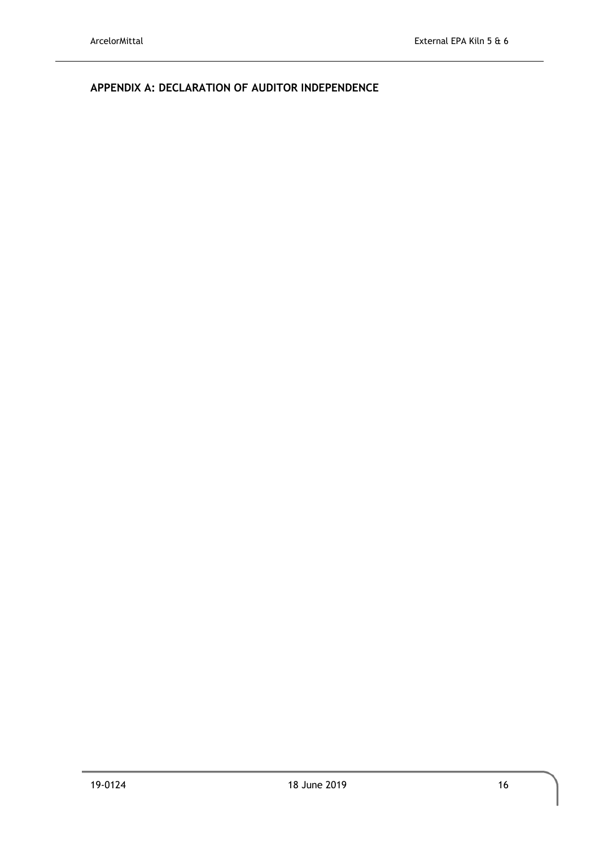<span id="page-20-0"></span>**APPENDIX A: DECLARATION OF AUDITOR INDEPENDENCE**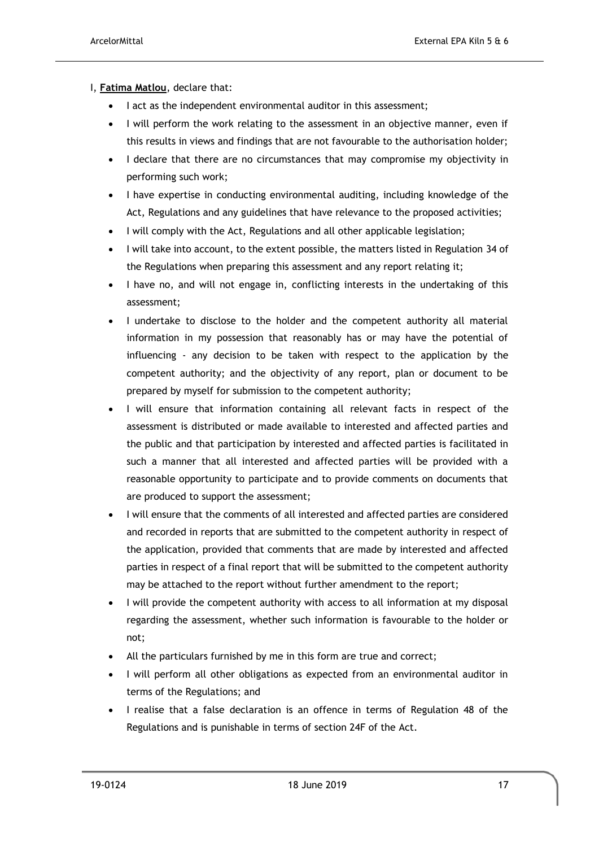#### I, **Fatima Matlou**, declare that:

- I act as the independent environmental auditor in this assessment;
- I will perform the work relating to the assessment in an objective manner, even if this results in views and findings that are not favourable to the authorisation holder;
- I declare that there are no circumstances that may compromise my objectivity in performing such work;
- I have expertise in conducting environmental auditing, including knowledge of the Act, Regulations and any guidelines that have relevance to the proposed activities;
- I will comply with the Act, Regulations and all other applicable legislation;
- I will take into account, to the extent possible, the matters listed in Regulation 34 of the Regulations when preparing this assessment and any report relating it;
- I have no, and will not engage in, conflicting interests in the undertaking of this assessment;
- I undertake to disclose to the holder and the competent authority all material information in my possession that reasonably has or may have the potential of influencing - any decision to be taken with respect to the application by the competent authority; and the objectivity of any report, plan or document to be prepared by myself for submission to the competent authority;
- I will ensure that information containing all relevant facts in respect of the assessment is distributed or made available to interested and affected parties and the public and that participation by interested and affected parties is facilitated in such a manner that all interested and affected parties will be provided with a reasonable opportunity to participate and to provide comments on documents that are produced to support the assessment;
- I will ensure that the comments of all interested and affected parties are considered and recorded in reports that are submitted to the competent authority in respect of the application, provided that comments that are made by interested and affected parties in respect of a final report that will be submitted to the competent authority may be attached to the report without further amendment to the report;
- I will provide the competent authority with access to all information at my disposal regarding the assessment, whether such information is favourable to the holder or not;
- All the particulars furnished by me in this form are true and correct;
- I will perform all other obligations as expected from an environmental auditor in terms of the Regulations; and
- I realise that a false declaration is an offence in terms of Regulation 48 of the Regulations and is punishable in terms of section 24F of the Act.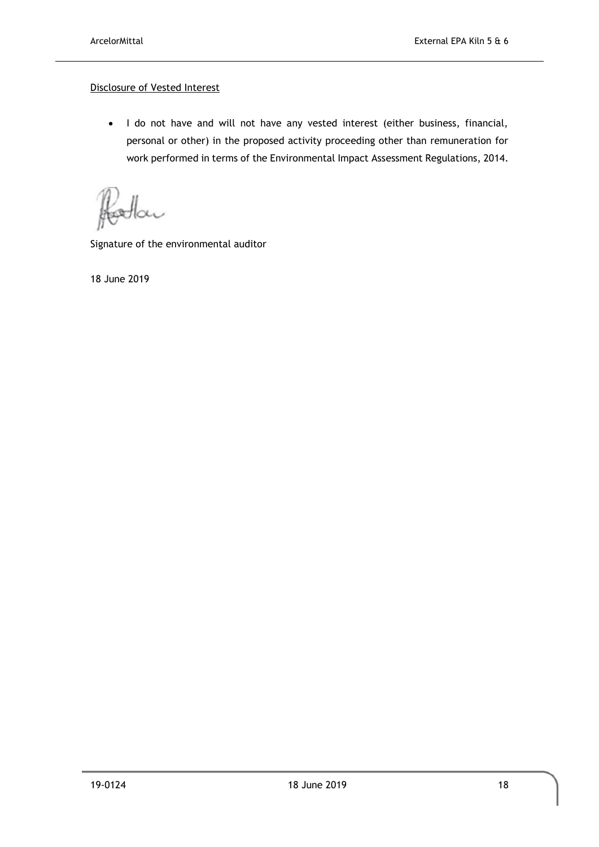#### Disclosure of Vested Interest

• I do not have and will not have any vested interest (either business, financial, personal or other) in the proposed activity proceeding other than remuneration for work performed in terms of the Environmental Impact Assessment Regulations, 2014.

XV

Signature of the environmental auditor

18 June 2019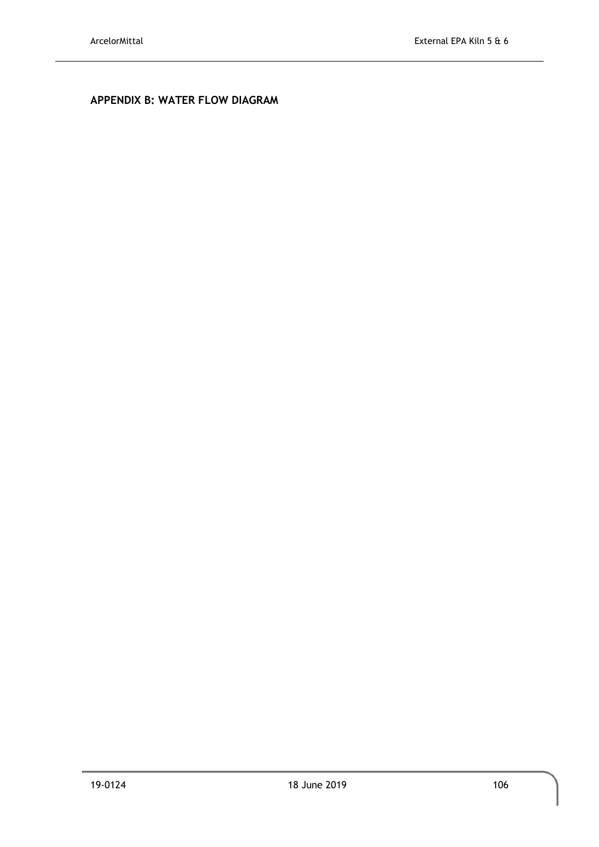# <span id="page-23-0"></span>**APPENDIX B: WATER FLOW DIAGRAM**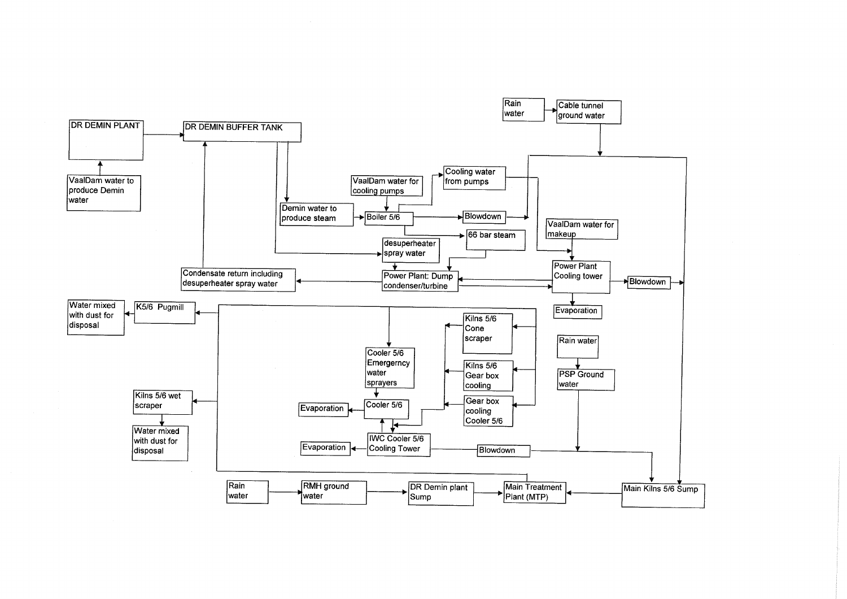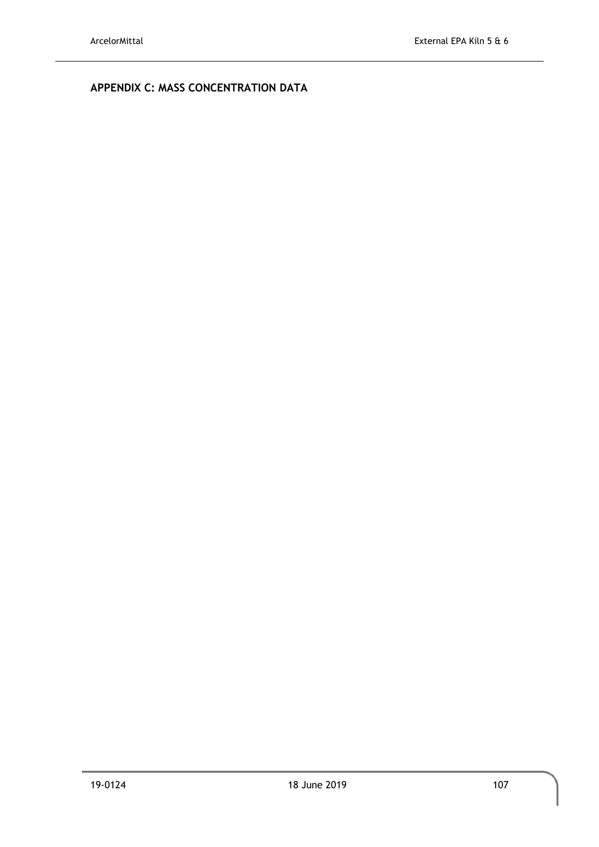# <span id="page-25-1"></span><span id="page-25-0"></span>**APPENDIX C: MASS CONCENTRATION DATA**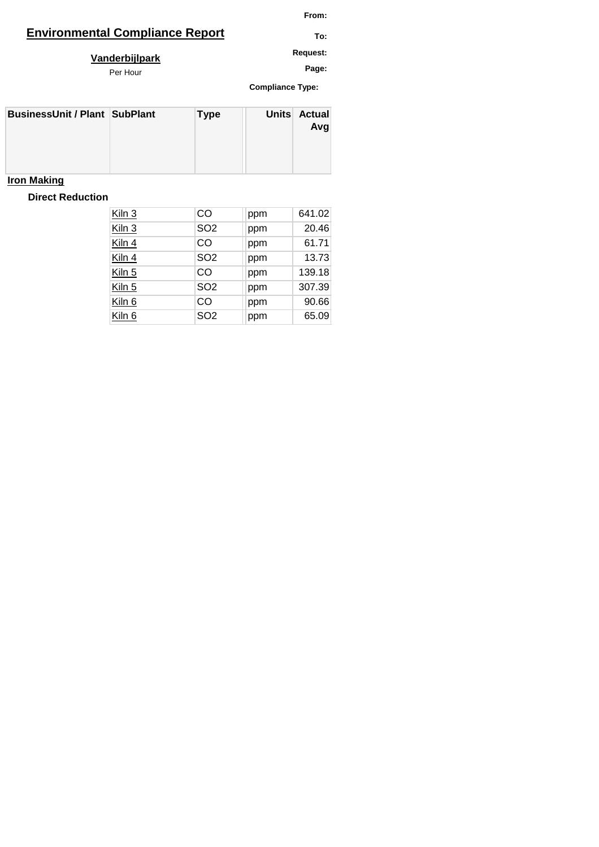# **Environmental Compliance Report TO:** TO:

**From:**

**Request: Vanderbijlpark**

Per Hour

**Compliance Type: Page:**

| <b>BusinessUnit / Plant SubPlant</b> | <b>Type</b> | Units Actual<br>Avg |
|--------------------------------------|-------------|---------------------|
|                                      |             |                     |

# **Iron Making**

# **Direct Reduction**

| Kiln 3 | CO              | ppm | 641.02 |
|--------|-----------------|-----|--------|
| Kiln 3 | SO <sub>2</sub> | ppm | 20.46  |
| Kiln 4 | CO              | ppm | 61.71  |
| Kiln 4 | SO <sub>2</sub> | ppm | 13.73  |
| Kiln 5 | CO              | ppm | 139.18 |
| Kiln 5 | SO <sub>2</sub> | ppm | 307.39 |
| Kiln 6 | CO              | ppm | 90.66  |
| Kiln 6 | SO <sub>2</sub> | ppm | 65.09  |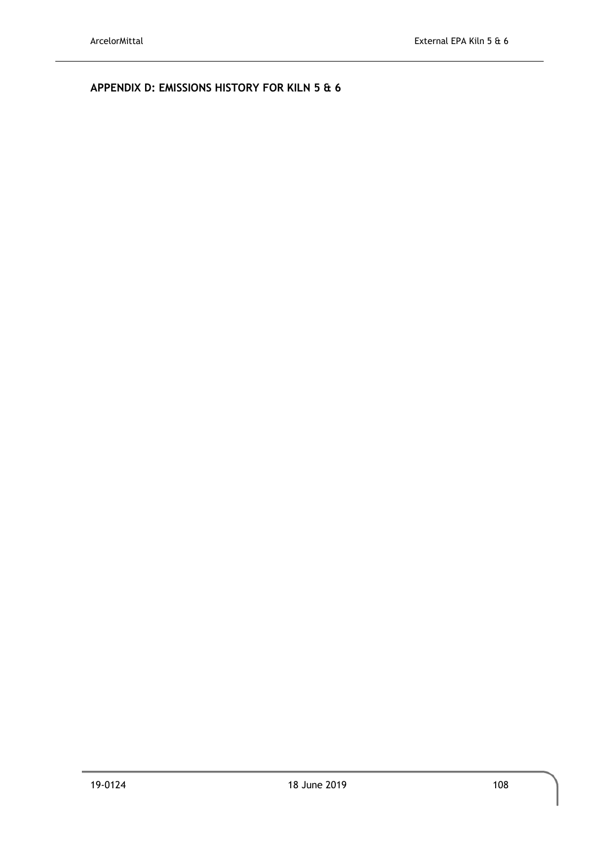<span id="page-27-0"></span>**APPENDIX D: EMISSIONS HISTORY FOR KILN 5 & 6**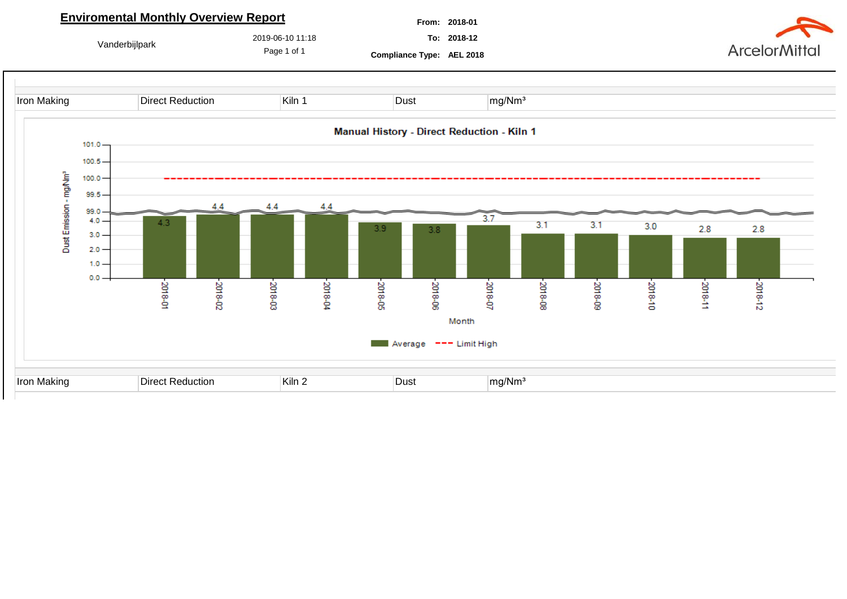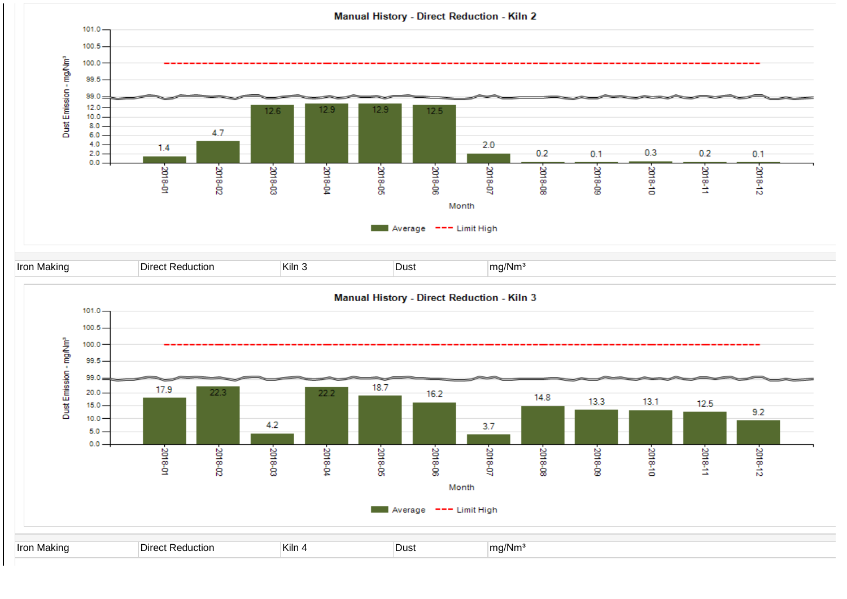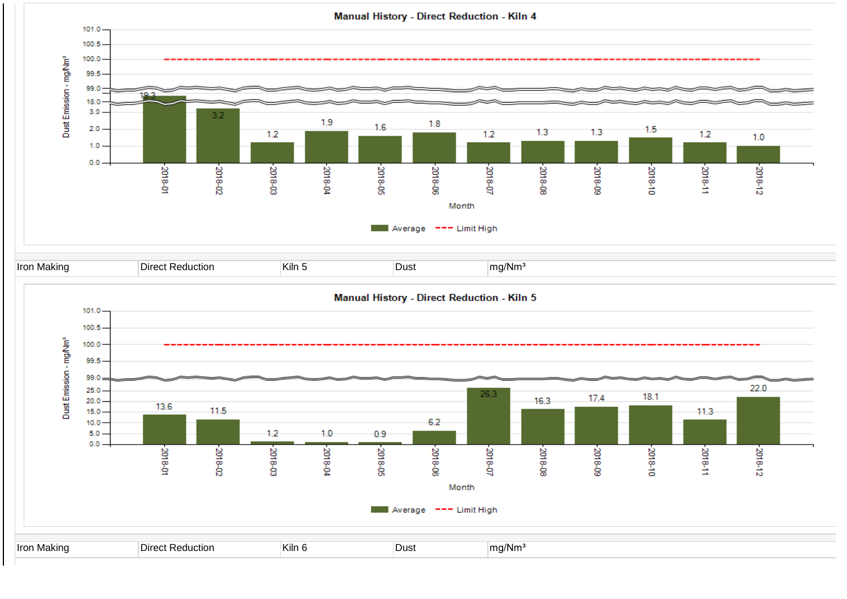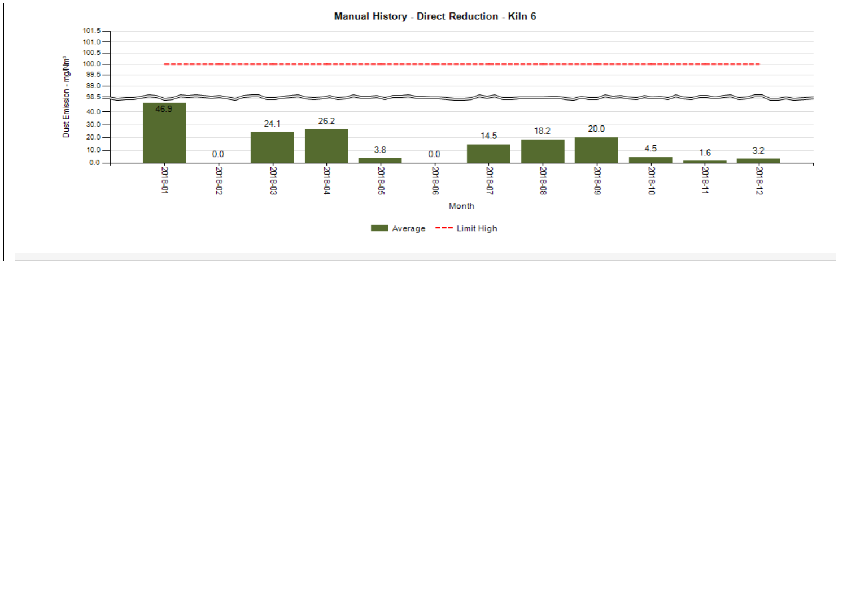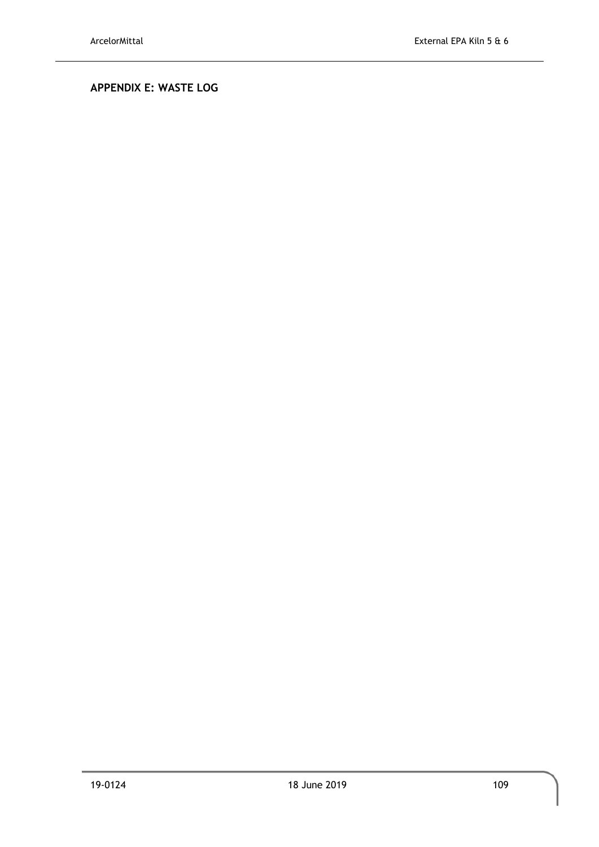# <span id="page-32-0"></span>**APPENDIX E: WASTE LOG**